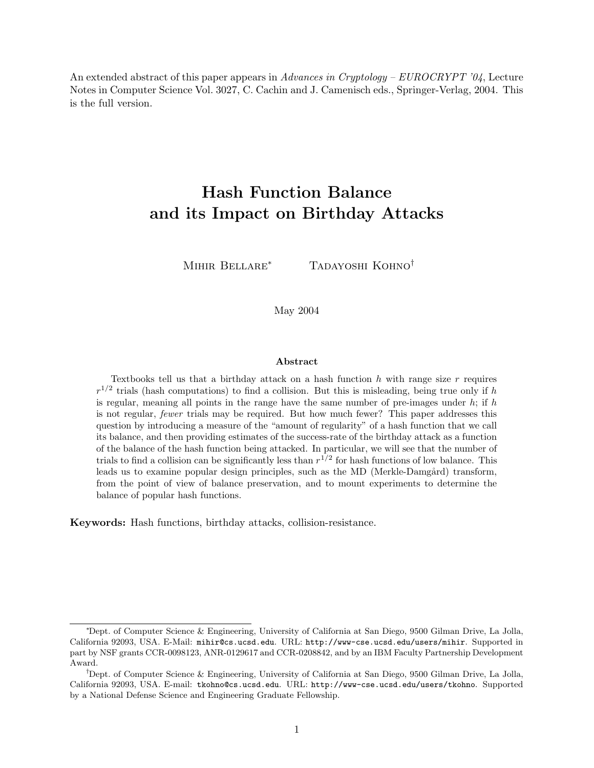An extended abstract of this paper appears in Advances in Cryptology –  $EUROCRYPT'04$ , Lecture Notes in Computer Science Vol. 3027, C. Cachin and J. Camenisch eds., Springer-Verlag, 2004. This is the full version.

# Hash Function Balance and its Impact on Birthday Attacks

MIHIR BELLARE<sup>\*</sup> TADAYOSHI KOHNO<sup>†</sup>

May 2004

#### Abstract

Textbooks tell us that a birthday attack on a hash function  $h$  with range size  $r$  requires  $r^{1/2}$  trials (hash computations) to find a collision. But this is misleading, being true only if h is regular, meaning all points in the range have the same number of pre-images under  $h$ ; if  $h$ is not regular, fewer trials may be required. But how much fewer? This paper addresses this question by introducing a measure of the "amount of regularity" of a hash function that we call its balance, and then providing estimates of the success-rate of the birthday attack as a function of the balance of the hash function being attacked. In particular, we will see that the number of trials to find a collision can be significantly less than  $r^{1/2}$  for hash functions of low balance. This leads us to examine popular design principles, such as the MD (Merkle-Damgård) transform, from the point of view of balance preservation, and to mount experiments to determine the balance of popular hash functions.

Keywords: Hash functions, birthday attacks, collision-resistance.

<sup>∗</sup>Dept. of Computer Science & Engineering, University of California at San Diego, 9500 Gilman Drive, La Jolla, California 92093, USA. E-Mail: mihir@cs.ucsd.edu. URL: http://www-cse.ucsd.edu/users/mihir. Supported in part by NSF grants CCR-0098123, ANR-0129617 and CCR-0208842, and by an IBM Faculty Partnership Development Award.

<sup>†</sup>Dept. of Computer Science & Engineering, University of California at San Diego, 9500 Gilman Drive, La Jolla, California 92093, USA. E-mail: tkohno@cs.ucsd.edu. URL: http://www-cse.ucsd.edu/users/tkohno. Supported by a National Defense Science and Engineering Graduate Fellowship.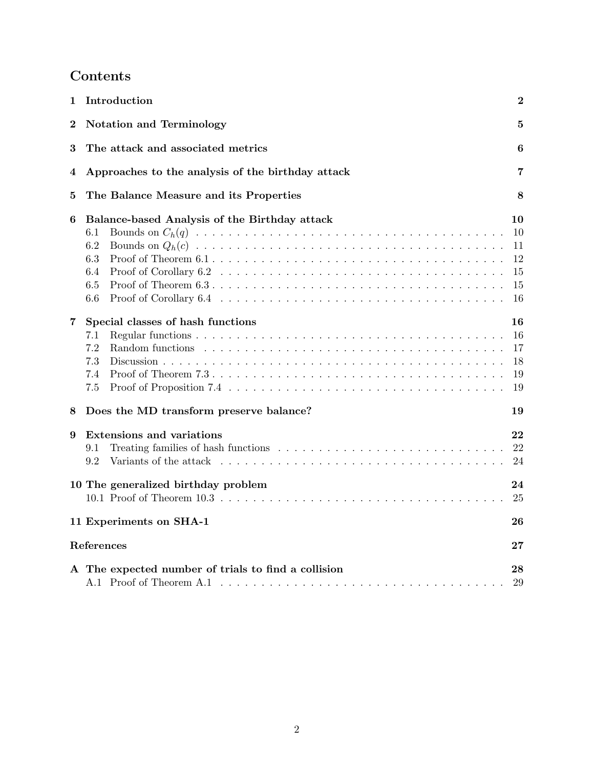# Contents

| 1                      | Introduction<br>$\boldsymbol{2}$                                                                                                                                                                                                                                          |                                        |  |  |
|------------------------|---------------------------------------------------------------------------------------------------------------------------------------------------------------------------------------------------------------------------------------------------------------------------|----------------------------------------|--|--|
| $\boldsymbol{2}$       | <b>Notation and Terminology</b><br>$\bf{5}$                                                                                                                                                                                                                               |                                        |  |  |
| 3                      | The attack and associated metrics<br>6                                                                                                                                                                                                                                    |                                        |  |  |
| 4                      | Approaches to the analysis of the birthday attack<br>7                                                                                                                                                                                                                    |                                        |  |  |
| 5                      | The Balance Measure and its Properties                                                                                                                                                                                                                                    | 8                                      |  |  |
| 6                      | Balance-based Analysis of the Birthday attack<br>6.1<br>6.2<br>6.3<br>6.4<br>6.5<br>6.6                                                                                                                                                                                   | 10<br>10<br>11<br>12<br>15<br>15<br>16 |  |  |
| 7                      | Special classes of hash functions<br>7.1<br>7.2<br>7.3<br>7.4<br>7.5                                                                                                                                                                                                      | 16<br>16<br>17<br>18<br>19<br>19       |  |  |
| 8                      | Does the MD transform preserve balance?                                                                                                                                                                                                                                   | 19                                     |  |  |
| 9                      | Extensions and variations<br>9.1<br>9.2<br>Variants of the attack end is not consider the set of the set of the set of the set of the set of the set of the set of the set of the set of the set of the set of the set of the set of the set of the set of the set of the | 22<br>22<br>24                         |  |  |
|                        | 10 The generalized birthday problem                                                                                                                                                                                                                                       | 24<br>25                               |  |  |
|                        | 11 Experiments on SHA-1                                                                                                                                                                                                                                                   | 26                                     |  |  |
| References<br>$\bf 27$ |                                                                                                                                                                                                                                                                           |                                        |  |  |
|                        | A The expected number of trials to find a collision                                                                                                                                                                                                                       | 28<br>29                               |  |  |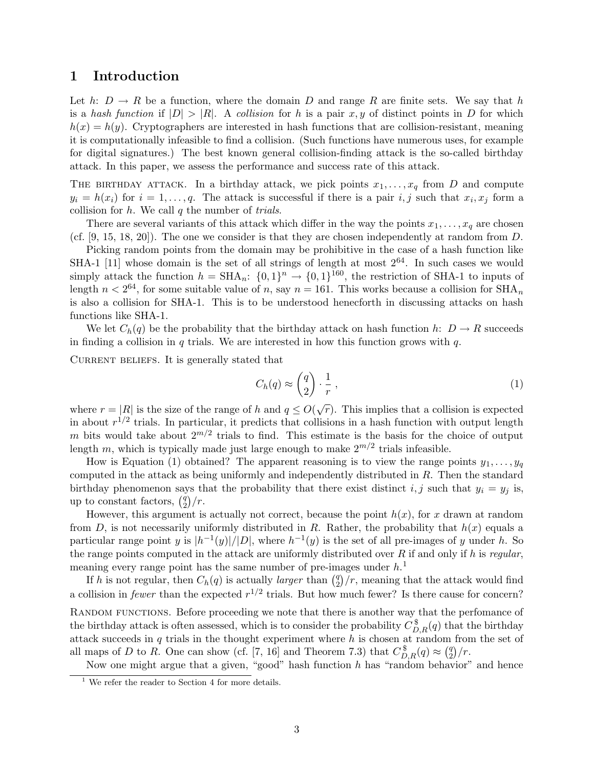## 1 Introduction

Let h:  $D \to R$  be a function, where the domain D and range R are finite sets. We say that h is a hash function if  $|D| > |R|$ . A collision for h is a pair x, y of distinct points in D for which  $h(x) = h(y)$ . Cryptographers are interested in hash functions that are collision-resistant, meaning it is computationally infeasible to find a collision. (Such functions have numerous uses, for example for digital signatures.) The best known general collision-finding attack is the so-called birthday attack. In this paper, we assess the performance and success rate of this attack.

THE BIRTHDAY ATTACK. In a birthday attack, we pick points  $x_1, \ldots, x_q$  from D and compute  $y_i = h(x_i)$  for  $i = 1, \ldots, q$ . The attack is successful if there is a pair  $i, j$  such that  $x_i, x_j$  form a collision for  $h$ . We call  $q$  the number of *trials*.

There are several variants of this attack which differ in the way the points  $x_1, \ldots, x_q$  are chosen (cf. [9, 15, 18, 20]). The one we consider is that they are chosen independently at random from D.

Picking random points from the domain may be prohibitive in the case of a hash function like SHA-1 [11] whose domain is the set of all strings of length at most  $2^{64}$ . In such cases we would simply attack the function  $h = SHA_n$ :  $\{0, 1\}^n \rightarrow \{0, 1\}^{160}$ , the restriction of SHA-1 to inputs of length  $n < 2^{64}$ , for some suitable value of n, say  $n = 161$ . This works because a collision for  $\text{SHA}_n$ is also a collision for SHA-1. This is to be understood henecforth in discussing attacks on hash functions like SHA-1.

We let  $C_h(q)$  be the probability that the birthday attack on hash function h:  $D \to R$  succeeds in finding a collision in  $q$  trials. We are interested in how this function grows with  $q$ .

CURRENT BELIEFS. It is generally stated that

$$
C_h(q) \approx \binom{q}{2} \cdot \frac{1}{r},\tag{1}
$$

where  $r = |R|$  is the size of the range of h and  $q \leq O(\sqrt{r})$ . This implies that a collision is expected in about  $r^{1/2}$  trials. In particular, it predicts that collisions in a hash function with output length m bits would take about  $2^{m/2}$  trials to find. This estimate is the basis for the choice of output length m, which is typically made just large enough to make  $2^{m/2}$  trials infeasible.

How is Equation (1) obtained? The apparent reasoning is to view the range points  $y_1, \ldots, y_q$ computed in the attack as being uniformly and independently distributed in R. Then the standard birthday phenomenon says that the probability that there exist distinct i, j such that  $y_i = y_j$  is, up to constant factors,  $\binom{q}{2}$  $\binom{q}{2}/r$ .

However, this argument is actually not correct, because the point  $h(x)$ , for x drawn at random from D, is not necessarily uniformly distributed in R. Rather, the probability that  $h(x)$  equals a particular range point y is  $|h^{-1}(y)|/|D|$ , where  $h^{-1}(y)$  is the set of all pre-images of y under h. So the range points computed in the attack are uniformly distributed over  $R$  if and only if h is regular, meaning every range point has the same number of pre-images under  $h<sup>1</sup>$ 

If h is not regular, then  $C_h(q)$  is actually *larger* than  $\binom{q}{2}$  $\binom{q}{2}/r$ , meaning that the attack would find a collision in *fewer* than the expected  $r^{1/2}$  trials. But how much fewer? Is there cause for concern? RANDOM FUNCTIONS. Before proceeding we note that there is another way that the perfomance of the birthday attack is often assessed, which is to consider the probability  $C_{D,R}^{\$}(q)$  that the birthday attack succeeds in  $q$  trials in the thought experiment where  $h$  is chosen at random from the set of all maps of D to R. One can show (cf. [7, 16] and Theorem 7.3) that  $C_{D,R}^{\$}(q) \approx \binom{q}{2}$  $\binom{q}{2}/r$ .

Now one might argue that a given, "good" hash function  $h$  has "random behavior" and hence

 $^{\rm 1}$  We refer the reader to Section 4 for more details.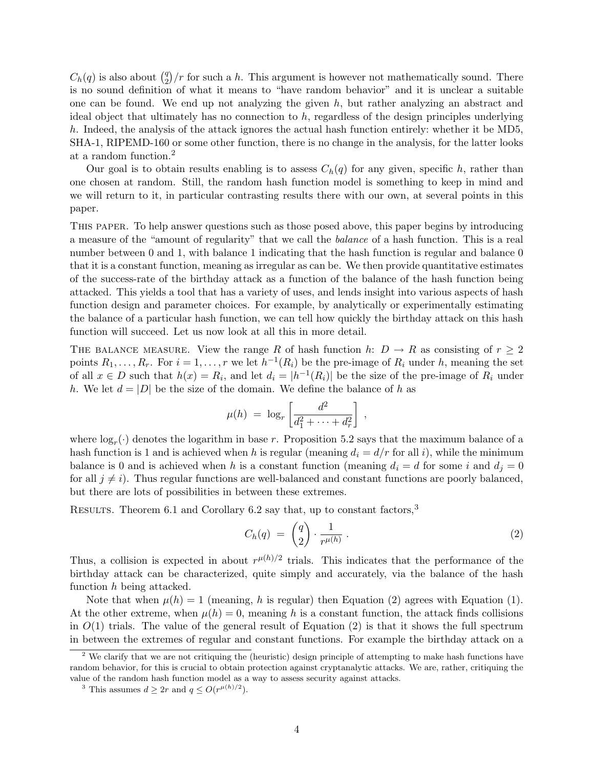$C_h(q)$  is also about  $\binom{q}{2}$  $\binom{q}{2}/r$  for such a h. This argument is however not mathematically sound. There is no sound definition of what it means to "have random behavior" and it is unclear a suitable one can be found. We end up not analyzing the given  $h$ , but rather analyzing an abstract and ideal object that ultimately has no connection to  $h$ , regardless of the design principles underlying h. Indeed, the analysis of the attack ignores the actual hash function entirely: whether it be MD5, SHA-1, RIPEMD-160 or some other function, there is no change in the analysis, for the latter looks at a random function.<sup>2</sup>

Our goal is to obtain results enabling is to assess  $C_h(q)$  for any given, specific h, rather than one chosen at random. Still, the random hash function model is something to keep in mind and we will return to it, in particular contrasting results there with our own, at several points in this paper.

This paper. To help answer questions such as those posed above, this paper begins by introducing a measure of the "amount of regularity" that we call the balance of a hash function. This is a real number between 0 and 1, with balance 1 indicating that the hash function is regular and balance 0 that it is a constant function, meaning as irregular as can be. We then provide quantitative estimates of the success-rate of the birthday attack as a function of the balance of the hash function being attacked. This yields a tool that has a variety of uses, and lends insight into various aspects of hash function design and parameter choices. For example, by analytically or experimentally estimating the balance of a particular hash function, we can tell how quickly the birthday attack on this hash function will succeed. Let us now look at all this in more detail.

THE BALANCE MEASURE. View the range R of hash function h:  $D \to R$  as consisting of  $r \geq 2$ points  $R_1, \ldots, R_r$ . For  $i = 1, \ldots, r$  we let  $h^{-1}(R_i)$  be the pre-image of  $R_i$  under h, meaning the set of all  $x \in D$  such that  $h(x) = R_i$ , and let  $d_i = |h^{-1}(R_i)|$  be the size of the pre-image of  $R_i$  under h. We let  $d = |D|$  be the size of the domain. We define the balance of h as

$$
\mu(h) = \log_r \left[ \frac{d^2}{d_1^2 + \dots + d_r^2} \right],
$$

where  $\log_r(\cdot)$  denotes the logarithm in base r. Proposition 5.2 says that the maximum balance of a hash function is 1 and is achieved when h is regular (meaning  $d_i = d/r$  for all i), while the minimum balance is 0 and is achieved when h is a constant function (meaning  $d_i = d$  for some i and  $d_j = 0$ for all  $j \neq i$ ). Thus regular functions are well-balanced and constant functions are poorly balanced, but there are lots of possibilities in between these extremes.

RESULTS. Theorem 6.1 and Corollary 6.2 say that, up to constant factors,  $3$ 

$$
C_h(q) = \begin{pmatrix} q \\ 2 \end{pmatrix} \cdot \frac{1}{r^{\mu(h)}} \,. \tag{2}
$$

Thus, a collision is expected in about  $r^{\mu(h)/2}$  trials. This indicates that the performance of the birthday attack can be characterized, quite simply and accurately, via the balance of the hash function h being attacked.

Note that when  $\mu(h) = 1$  (meaning, h is regular) then Equation (2) agrees with Equation (1). At the other extreme, when  $\mu(h) = 0$ , meaning h is a constant function, the attack finds collisions in  $O(1)$  trials. The value of the general result of Equation (2) is that it shows the full spectrum in between the extremes of regular and constant functions. For example the birthday attack on a

<sup>&</sup>lt;sup>2</sup> We clarify that we are not critiquing the (heuristic) design principle of attempting to make hash functions have random behavior, for this is crucial to obtain protection against cryptanalytic attacks. We are, rather, critiquing the value of the random hash function model as a way to assess security against attacks.

<sup>&</sup>lt;sup>3</sup> This assumes  $d \geq 2r$  and  $q \leq O(r^{\mu(h)/2})$ .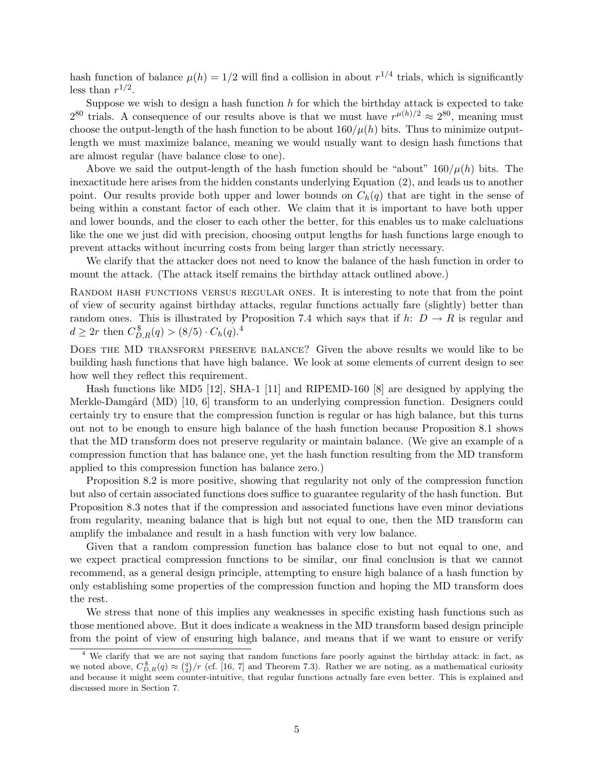hash function of balance  $\mu(h) = 1/2$  will find a collision in about  $r^{1/4}$  trials, which is significantly less than  $r^{1/2}$ .

Suppose we wish to design a hash function  $h$  for which the birthday attack is expected to take  $2^{80}$  trials. A consequence of our results above is that we must have  $r^{\mu(h)/2} \approx 2^{80}$ , meaning must choose the output-length of the hash function to be about  $160/\mu(h)$  bits. Thus to minimize outputlength we must maximize balance, meaning we would usually want to design hash functions that are almost regular (have balance close to one).

Above we said the output-length of the hash function should be "about"  $160/\mu(h)$  bits. The inexactitude here arises from the hidden constants underlying Equation (2), and leads us to another point. Our results provide both upper and lower bounds on  $C_h(q)$  that are tight in the sense of being within a constant factor of each other. We claim that it is important to have both upper and lower bounds, and the closer to each other the better, for this enables us to make calcluations like the one we just did with precision, choosing output lengths for hash functions large enough to prevent attacks without incurring costs from being larger than strictly necessary.

We clarify that the attacker does not need to know the balance of the hash function in order to mount the attack. (The attack itself remains the birthday attack outlined above.)

Random hash functions versus regular ones. It is interesting to note that from the point of view of security against birthday attacks, regular functions actually fare (slightly) better than random ones. This is illustrated by Proposition 7.4 which says that if h:  $D \to R$  is regular and  $d \ge 2r$  then  $C_{D,R}^{\$}(q) > (8/5) \cdot C_h(q).^4$ 

DOES THE MD TRANSFORM PRESERVE BALANCE? Given the above results we would like to be building hash functions that have high balance. We look at some elements of current design to see how well they reflect this requirement.

Hash functions like MD5 [12], SHA-1 [11] and RIPEMD-160 [8] are designed by applying the Merkle-Damgård (MD) [10, 6] transform to an underlying compression function. Designers could certainly try to ensure that the compression function is regular or has high balance, but this turns out not to be enough to ensure high balance of the hash function because Proposition 8.1 shows that the MD transform does not preserve regularity or maintain balance. (We give an example of a compression function that has balance one, yet the hash function resulting from the MD transform applied to this compression function has balance zero.)

Proposition 8.2 is more positive, showing that regularity not only of the compression function but also of certain associated functions does suffice to guarantee regularity of the hash function. But Proposition 8.3 notes that if the compression and associated functions have even minor deviations from regularity, meaning balance that is high but not equal to one, then the MD transform can amplify the imbalance and result in a hash function with very low balance.

Given that a random compression function has balance close to but not equal to one, and we expect practical compression functions to be similar, our final conclusion is that we cannot recommend, as a general design principle, attempting to ensure high balance of a hash function by only establishing some properties of the compression function and hoping the MD transform does the rest.

We stress that none of this implies any weaknesses in specific existing hash functions such as those mentioned above. But it does indicate a weakness in the MD transform based design principle from the point of view of ensuring high balance, and means that if we want to ensure or verify

We clarify that we are not saying that random functions fare poorly against the birthday attack: in fact, as we noted above,  $C_{D,R}^{\$}(q) \approx \binom{q}{2}/r$  (cf. [16, 7] and Theorem 7.3). Rather we are noting, as a mathematical curiosity and because it might seem counter-intuitive, that regular functions actually fare even better. This is explained and discussed more in Section 7.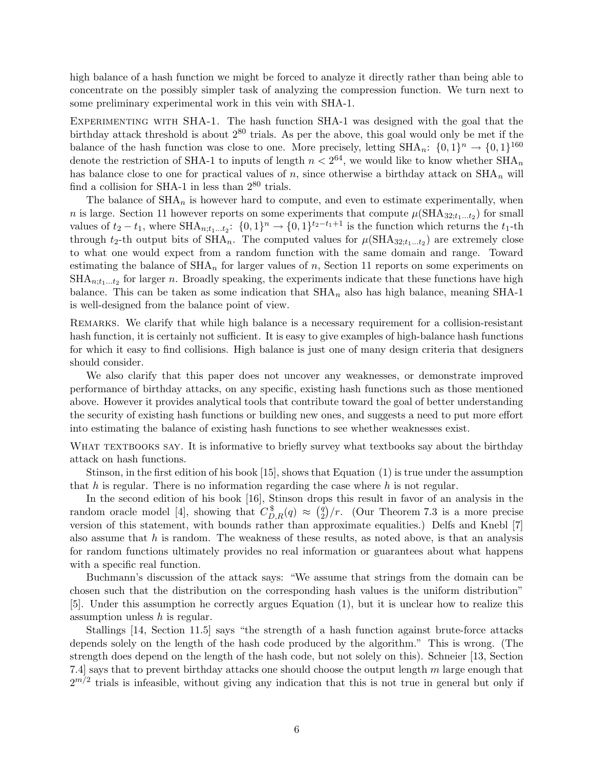high balance of a hash function we might be forced to analyze it directly rather than being able to concentrate on the possibly simpler task of analyzing the compression function. We turn next to some preliminary experimental work in this vein with SHA-1.

EXPERIMENTING WITH SHA-1. The hash function SHA-1 was designed with the goal that the birthday attack threshold is about  $2^{80}$  trials. As per the above, this goal would only be met if the balance of the hash function was close to one. More precisely, letting  $\text{SHA}_n$ :  $\{0, 1\}^n \to \{0, 1\}^{160}$ denote the restriction of SHA-1 to inputs of length  $n < 2^{64}$ , we would like to know whether  $\text{SHA}_n$ has balance close to one for practical values of n, since otherwise a birthday attack on  $\text{SHA}_n$  will find a collision for SHA-1 in less than  $2^{80}$  trials.

The balance of  $\text{SHA}_n$  is however hard to compute, and even to estimate experimentally, when *n* is large. Section 11 however reports on some experiments that compute  $\mu(\text{SHA}_{32;t_1...t_2})$  for small values of  $t_2 - t_1$ , where  $SHA_{n,t_1...t_2}$ :  $\{0,1\}^n \rightarrow \{0,1\}^{t_2-t_1+1}$  is the function which returns the  $t_1$ -th through  $t_2$ -th output bits of  $\text{SHA}_n$ . The computed values for  $\mu(\text{SHA}_{32;t_1...t_2})$  are extremely close to what one would expect from a random function with the same domain and range. Toward estimating the balance of  $\text{SHA}_n$  for larger values of n, Section 11 reports on some experiments on  $\text{SHA}_{n,t_1...t_2}$  for larger n. Broadly speaking, the experiments indicate that these functions have high balance. This can be taken as some indication that  $\text{SHA}_n$  also has high balance, meaning SHA-1 is well-designed from the balance point of view.

REMARKS. We clarify that while high balance is a necessary requirement for a collision-resistant hash function, it is certainly not sufficient. It is easy to give examples of high-balance hash functions for which it easy to find collisions. High balance is just one of many design criteria that designers should consider.

We also clarify that this paper does not uncover any weaknesses, or demonstrate improved performance of birthday attacks, on any specific, existing hash functions such as those mentioned above. However it provides analytical tools that contribute toward the goal of better understanding the security of existing hash functions or building new ones, and suggests a need to put more effort into estimating the balance of existing hash functions to see whether weaknesses exist.

WHAT TEXTBOOKS SAY. It is informative to briefly survey what textbooks say about the birthday attack on hash functions.

Stinson, in the first edition of his book [15], shows that Equation (1) is true under the assumption that h is regular. There is no information regarding the case where  $h$  is not regular.

In the second edition of his book [16], Stinson drops this result in favor of an analysis in the random oracle model [4], showing that  $C_{D,R}^{\$}(q) \approx \binom{q}{2}$  $\binom{q}{2}/r$ . (Our Theorem 7.3 is a more precise version of this statement, with bounds rather than approximate equalities.) Delfs and Knebl [7] also assume that  $h$  is random. The weakness of these results, as noted above, is that an analysis for random functions ultimately provides no real information or guarantees about what happens with a specific real function.

Buchmann's discussion of the attack says: "We assume that strings from the domain can be chosen such that the distribution on the corresponding hash values is the uniform distribution" [5]. Under this assumption he correctly argues Equation (1), but it is unclear how to realize this assumption unless  $h$  is regular.

Stallings [14, Section 11.5] says "the strength of a hash function against brute-force attacks depends solely on the length of the hash code produced by the algorithm." This is wrong. (The strength does depend on the length of the hash code, but not solely on this). Schneier [13, Section 7.4] says that to prevent birthday attacks one should choose the output length  $m$  large enough that  $2^{m/2}$  trials is infeasible, without giving any indication that this is not true in general but only if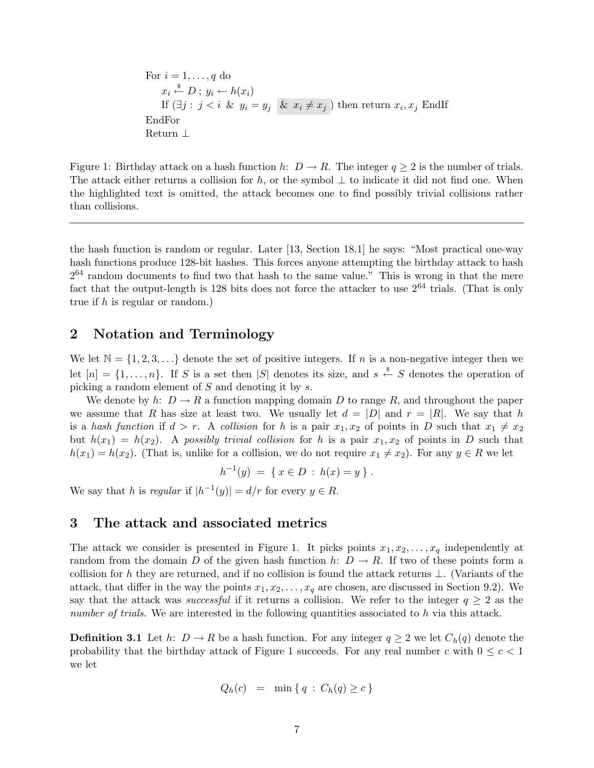For  $i = 1, \ldots, q$  do  $x_i \stackrel{\$}{\leftarrow} D$ ;  $y_i \leftarrow h(x_i)$ If  $(\exists j : j < i \& y_i = y_j \& x_i \neq x_j)$  then return  $x_i, x_j$  EndIf EndFor Return ⊥

Figure 1: Birthday attack on a hash function h:  $D \to R$ . The integer  $q \geq 2$  is the number of trials. The attack either returns a collision for h, or the symbol  $\perp$  to indicate it did not find one. When the highlighted text is omitted, the attack becomes one to find possibly trivial collisions rather than collisions.

the hash function is random or regular. Later [13, Section 18.1] he says: "Most practical one-way hash functions produce 128-bit hashes. This forces anyone attempting the birthday attack to hash  $2^{64}$  random documents to find two that hash to the same value." This is wrong in that the mere fact that the output-length is 128 bits does not force the attacker to use  $2^{64}$  trials. (That is only true if h is regular or random.)

# 2 Notation and Terminology

We let  $\mathbb{N} = \{1, 2, 3, \ldots\}$  denote the set of positive integers. If n is a non-negative integer then we let  $[n] = \{1, \ldots, n\}$ . If S is a set then |S| denotes its size, and  $s \stackrel{\$}{\leftarrow} S$  denotes the operation of picking a random element of S and denoting it by s.

We denote by h:  $D \to R$  a function mapping domain D to range R, and throughout the paper we assume that R has size at least two. We usually let  $d = |D|$  and  $r = |R|$ . We say that h is a hash function if  $d > r$ . A collision for h is a pair  $x_1, x_2$  of points in D such that  $x_1 \neq x_2$ but  $h(x_1) = h(x_2)$ . A possibly trivial collision for h is a pair  $x_1, x_2$  of points in D such that  $h(x_1) = h(x_2)$ . (That is, unlike for a collision, we do not require  $x_1 \neq x_2$ ). For any  $y \in R$  we let

$$
h^{-1}(y) = \{ x \in D : h(x) = y \} .
$$

We say that h is regular if  $|h^{-1}(y)| = d/r$  for every  $y \in R$ .

## 3 The attack and associated metrics

The attack we consider is presented in Figure 1. It picks points  $x_1, x_2, \ldots, x_q$  independently at random from the domain D of the given hash function h:  $D \to R$ . If two of these points form a collision for h they are returned, and if no collision is found the attack returns  $\perp$ . (Variants of the attack, that differ in the way the points  $x_1, x_2, \ldots, x_q$  are chosen, are discussed in Section 9.2). We say that the attack was successful if it returns a collision. We refer to the integer  $q \geq 2$  as the number of trials. We are interested in the following quantities associated to h via this attack.

**Definition 3.1** Let h:  $D \to R$  be a hash function. For any integer  $q \geq 2$  we let  $C_h(q)$  denote the probability that the birthday attack of Figure 1 succeeds. For any real number c with  $0 \leq c < 1$ we let

$$
Q_h(c) = \min\{q : C_h(q) \ge c\}
$$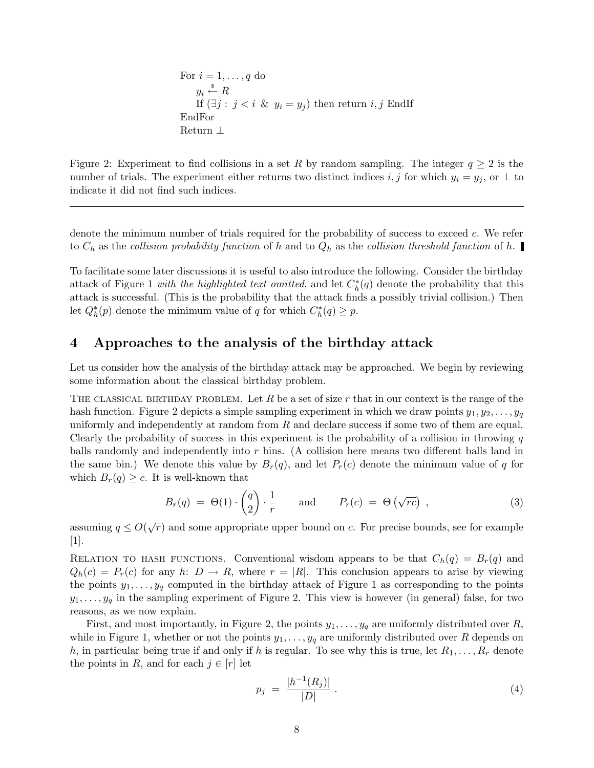For  $i = 1, \ldots, q$  do  $y_i \overset{\$}{\leftarrow} R$ If  $(\exists j : j < i \& y_i = y_j)$  then return  $i, j$  EndIf EndFor Return ⊥

Figure 2: Experiment to find collisions in a set R by random sampling. The integer  $q \ge 2$  is the number of trials. The experiment either returns two distinct indices i, j for which  $y_i = y_j$ , or  $\perp$  to indicate it did not find such indices.

denote the minimum number of trials required for the probability of success to exceed c. We refer to  $C_h$  as the collision probability function of h and to  $Q_h$  as the collision threshold function of h.

To facilitate some later discussions it is useful to also introduce the following. Consider the birthday attack of Figure 1 *with the highlighted text omitted*, and let  $C_h^*(q)$  denote the probability that this attack is successful. (This is the probability that the attack finds a possibly trivial collision.) Then let  $Q_h^*(p)$  denote the minimum value of q for which  $C_h^*(q) \geq p$ .

## 4 Approaches to the analysis of the birthday attack

Let us consider how the analysis of the birthday attack may be approached. We begin by reviewing some information about the classical birthday problem.

THE CLASSICAL BIRTHDAY PROBLEM. Let  $R$  be a set of size  $r$  that in our context is the range of the hash function. Figure 2 depicts a simple sampling experiment in which we draw points  $y_1, y_2, \ldots, y_q$ uniformly and independently at random from  $R$  and declare success if some two of them are equal. Clearly the probability of success in this experiment is the probability of a collision in throwing  $q$ balls randomly and independently into r bins. (A collision here means two different balls land in the same bin.) We denote this value by  $B_r(q)$ , and let  $P_r(c)$  denote the minimum value of q for which  $B_r(q) \geq c$ . It is well-known that

$$
B_r(q) = \Theta(1) \cdot \begin{pmatrix} q \\ 2 \end{pmatrix} \cdot \frac{1}{r} \quad \text{and} \quad P_r(c) = \Theta(\sqrt{rc}) \quad , \tag{3}
$$

assuming  $q \leq O(\sqrt{r})$  and some appropriate upper bound on c. For precise bounds, see for example [1].

RELATION TO HASH FUNCTIONS. Conventional wisdom appears to be that  $C_h(q) = B_r(q)$  and  $Q_h(c) = P_r(c)$  for any h:  $D \to R$ , where  $r = |R|$ . This conclusion appears to arise by viewing the points  $y_1, \ldots, y_q$  computed in the birthday attack of Figure 1 as corresponding to the points  $y_1, \ldots, y_q$  in the sampling experiment of Figure 2. This view is however (in general) false, for two reasons, as we now explain.

First, and most importantly, in Figure 2, the points  $y_1, \ldots, y_q$  are uniformly distributed over R, while in Figure 1, whether or not the points  $y_1, \ldots, y_q$  are uniformly distributed over R depends on h, in particular being true if and only if h is regular. To see why this is true, let  $R_1, \ldots, R_r$  denote the points in R, and for each  $j \in [r]$  let

$$
p_j \ = \ \frac{|h^{-1}(R_j)|}{|D|} \ . \tag{4}
$$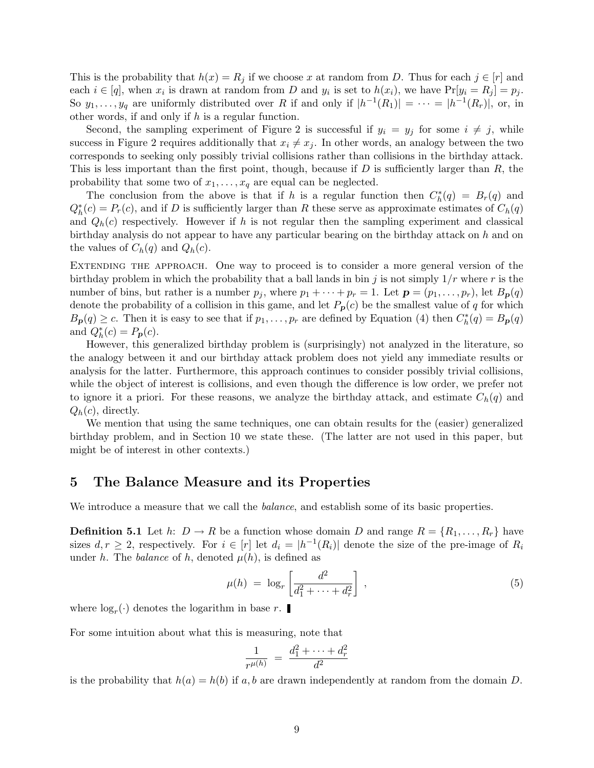This is the probability that  $h(x) = R_j$  if we choose x at random from D. Thus for each  $j \in [r]$  and each  $i \in [q]$ , when  $x_i$  is drawn at random from D and  $y_i$  is set to  $h(x_i)$ , we have  $Pr[y_i = R_j] = p_j$ . So  $y_1, \ldots, y_q$  are uniformly distributed over R if and only if  $|h^{-1}(R_1)| = \cdots = |h^{-1}(R_r)|$ , or, in other words, if and only if  $h$  is a regular function.

Second, the sampling experiment of Figure 2 is successful if  $y_i = y_j$  for some  $i \neq j$ , while success in Figure 2 requires additionally that  $x_i \neq x_j$ . In other words, an analogy between the two corresponds to seeking only possibly trivial collisions rather than collisions in the birthday attack. This is less important than the first point, though, because if  $D$  is sufficiently larger than  $R$ , the probability that some two of  $x_1, \ldots, x_q$  are equal can be neglected.

The conclusion from the above is that if h is a regular function then  $C_h^*(q) = B_r(q)$  and  $Q_h^*(c) = P_r(c)$ , and if D is sufficiently larger than R these serve as approximate estimates of  $C_h(q)$ and  $Q_h(c)$  respectively. However if h is not regular then the sampling experiment and classical birthday analysis do not appear to have any particular bearing on the birthday attack on  $h$  and on the values of  $C_h(q)$  and  $Q_h(c)$ .

EXTENDING THE APPROACH. One way to proceed is to consider a more general version of the birthday problem in which the probability that a ball lands in bin j is not simply  $1/r$  where r is the number of bins, but rather is a number  $p_j$ , where  $p_1 + \cdots + p_r = 1$ . Let  $\mathbf{p} = (p_1, \ldots, p_r)$ , let  $B_{\mathbf{p}}(q)$ denote the probability of a collision in this game, and let  $P_p(c)$  be the smallest value of q for which  $B_{\mathbf{p}}(q) \geq c$ . Then it is easy to see that if  $p_1, \ldots, p_r$  are defined by Equation (4) then  $C_h^*(q) = B_{\mathbf{p}}(q)$ and  $Q_h^*(c) = P_p(c)$ .

However, this generalized birthday problem is (surprisingly) not analyzed in the literature, so the analogy between it and our birthday attack problem does not yield any immediate results or analysis for the latter. Furthermore, this approach continues to consider possibly trivial collisions, while the object of interest is collisions, and even though the difference is low order, we prefer not to ignore it a priori. For these reasons, we analyze the birthday attack, and estimate  $C_h(q)$  and  $Q_h(c)$ , directly.

We mention that using the same techniques, one can obtain results for the (easier) generalized birthday problem, and in Section 10 we state these. (The latter are not used in this paper, but might be of interest in other contexts.)

### 5 The Balance Measure and its Properties

We introduce a measure that we call the *balance*, and establish some of its basic properties.

**Definition 5.1** Let h:  $D \to R$  be a function whose domain D and range  $R = \{R_1, \ldots, R_r\}$  have sizes  $d, r \geq 2$ , respectively. For  $i \in [r]$  let  $d_i = |h^{-1}(R_i)|$  denote the size of the pre-image of  $R_i$ under h. The balance of h, denoted  $\mu(h)$ , is defined as

$$
\mu(h) \ = \ \log_r \left[ \frac{d^2}{d_1^2 + \dots + d_r^2} \right] \,, \tag{5}
$$

where  $log<sub>r</sub>(.)$  denotes the logarithm in base r.

For some intuition about what this is measuring, note that

$$
\frac{1}{r^{\mu(h)}} = \frac{d_1^2 + \dots + d_r^2}{d^2}
$$

is the probability that  $h(a) = h(b)$  if a, b are drawn independently at random from the domain D.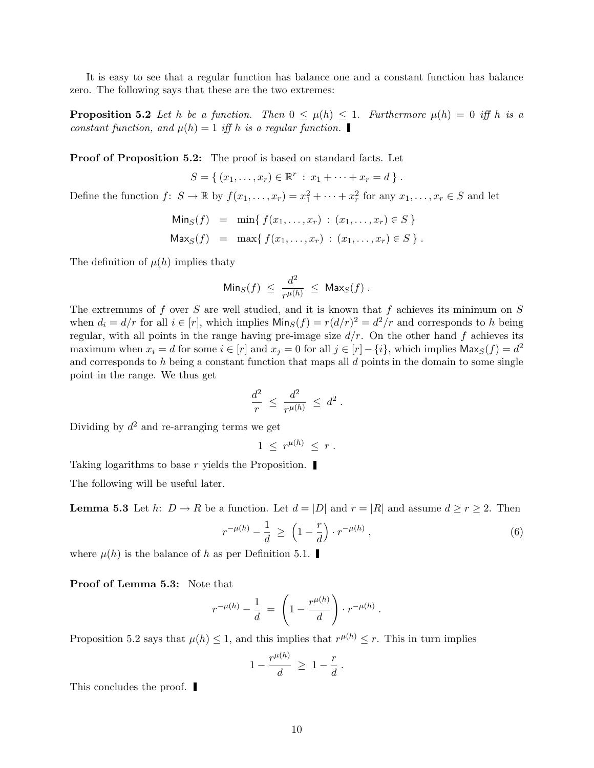It is easy to see that a regular function has balance one and a constant function has balance zero. The following says that these are the two extremes:

**Proposition 5.2** Let h be a function. Then  $0 \leq \mu(h) \leq 1$ . Furthermore  $\mu(h) = 0$  iff h is a constant function, and  $\mu(h) = 1$  iff h is a regular function.

Proof of Proposition 5.2: The proof is based on standard facts. Let

 $S = \{ (x_1, \ldots, x_r) \in \mathbb{R}^r : x_1 + \cdots + x_r = d \}$ .

Define the function  $f: S \to \mathbb{R}$  by  $f(x_1, \ldots, x_r) = x_1^2 + \cdots + x_r^2$  for any  $x_1, \ldots, x_r \in S$  and let

$$
\begin{aligned}\n\text{Min}_S(f) &= \min \{ \, f(x_1, \dots, x_r) \, : \, (x_1, \dots, x_r) \in S \, \} \\
\text{Max}_S(f) &= \max \{ \, f(x_1, \dots, x_r) \, : \, (x_1, \dots, x_r) \in S \, \} \, .\n\end{aligned}
$$

The definition of  $\mu(h)$  implies thaty

$$
\mathsf{Min}_S(f) \ \leq \ \frac{d^2}{r^{\mu(h)}} \ \leq \ \mathsf{Max}_S(f) \ .
$$

The extremums of f over S are well studied, and it is known that f achieves its minimum on  $S$ when  $d_i = d/r$  for all  $i \in [r]$ , which implies  $\text{Min}_S(f) = r(d/r)^2 = d^2/r$  and corresponds to h being regular, with all points in the range having pre-image size  $d/r$ . On the other hand f achieves its maximum when  $x_i = d$  for some  $i \in [r]$  and  $x_j = 0$  for all  $j \in [r] - \{i\}$ , which implies  $\mathsf{Max}_S(f) = d^2$ and corresponds to h being a constant function that maps all  $d$  points in the domain to some single point in the range. We thus get

$$
\frac{d^2}{r} \; \le \; \frac{d^2}{r^{\mu(h)}} \; \le \; d^2 \; .
$$

Dividing by  $d^2$  and re-arranging terms we get

$$
1 \leq r^{\mu(h)} \leq r .
$$

Taking logarithms to base r yields the Proposition.

The following will be useful later.

**Lemma 5.3** Let h:  $D \to R$  be a function. Let  $d = |D|$  and  $r = |R|$  and assume  $d \ge r \ge 2$ . Then

$$
r^{-\mu(h)} - \frac{1}{d} \ge \left(1 - \frac{r}{d}\right) \cdot r^{-\mu(h)}, \tag{6}
$$

where  $\mu(h)$  is the balance of h as per Definition 5.1.

Proof of Lemma 5.3: Note that

$$
r^{-\mu(h)} - \frac{1}{d} = \left(1 - \frac{r^{\mu(h)}}{d}\right) \cdot r^{-\mu(h)}.
$$

Proposition 5.2 says that  $\mu(h) \leq 1$ , and this implies that  $r^{\mu(h)} \leq r$ . This in turn implies

 $\mathbf{u}$ 

$$
1-\frac{r^{\mu(h)}}{d} \geq 1-\frac{r}{d}.
$$

This concludes the proof.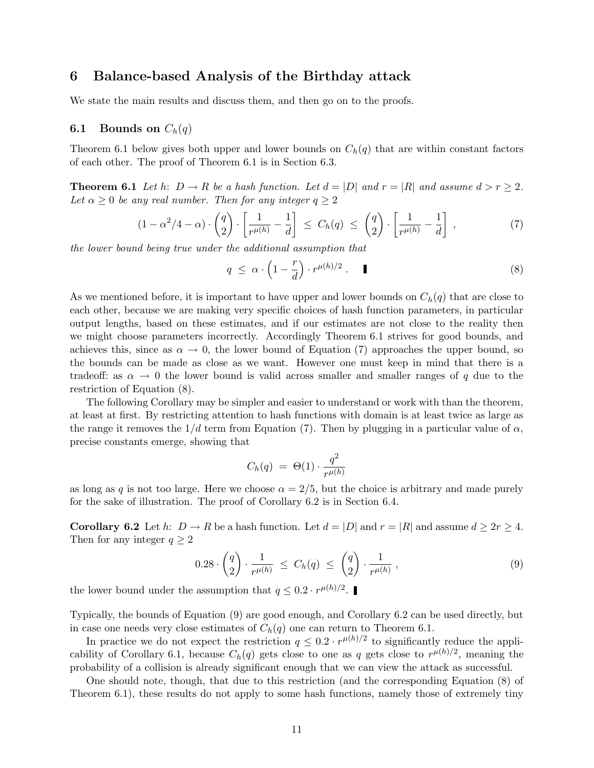# 6 Balance-based Analysis of the Birthday attack

We state the main results and discuss them, and then go on to the proofs.

### **6.1** Bounds on  $C_h(q)$

Theorem 6.1 below gives both upper and lower bounds on  $C_h(q)$  that are within constant factors of each other. The proof of Theorem 6.1 is in Section 6.3.

**Theorem 6.1** Let h:  $D \to R$  be a hash function. Let  $d = |D|$  and  $r = |R|$  and assume  $d > r \geq 2$ . Let  $\alpha \geq 0$  be any real number. Then for any integer  $q \geq 2$ 

$$
(1 - \alpha^2/4 - \alpha) \cdot \begin{pmatrix} q \\ 2 \end{pmatrix} \cdot \begin{bmatrix} \frac{1}{r^{\mu(h)}} - \frac{1}{d} \end{bmatrix} \le C_h(q) \le \begin{pmatrix} q \\ 2 \end{pmatrix} \cdot \begin{bmatrix} \frac{1}{r^{\mu(h)}} - \frac{1}{d} \end{bmatrix},
$$
(7)

the lower bound being true under the additional assumption that

$$
q \leq \alpha \cdot \left(1 - \frac{r}{d}\right) \cdot r^{\mu(h)/2} \,. \tag{8}
$$

As we mentioned before, it is important to have upper and lower bounds on  $C_h(q)$  that are close to each other, because we are making very specific choices of hash function parameters, in particular output lengths, based on these estimates, and if our estimates are not close to the reality then we might choose parameters incorrectly. Accordingly Theorem 6.1 strives for good bounds, and achieves this, since as  $\alpha \to 0$ , the lower bound of Equation (7) approaches the upper bound, so the bounds can be made as close as we want. However one must keep in mind that there is a tradeoff: as  $\alpha \to 0$  the lower bound is valid across smaller and smaller ranges of q due to the restriction of Equation (8).

The following Corollary may be simpler and easier to understand or work with than the theorem, at least at first. By restricting attention to hash functions with domain is at least twice as large as the range it removes the  $1/d$  term from Equation (7). Then by plugging in a particular value of  $\alpha$ , precise constants emerge, showing that

$$
C_h(q) = \Theta(1) \cdot \frac{q^2}{r^{\mu(h)}}
$$

as long as q is not too large. Here we choose  $\alpha = 2/5$ , but the choice is arbitrary and made purely for the sake of illustration. The proof of Corollary 6.2 is in Section 6.4.

**Corollary 6.2** Let h:  $D \to R$  be a hash function. Let  $d = |D|$  and  $r = |R|$  and assume  $d \geq 2r \geq 4$ . Then for any integer  $q \geq 2$ 

$$
0.28 \cdot \binom{q}{2} \cdot \frac{1}{r^{\mu(h)}} \le C_h(q) \le \binom{q}{2} \cdot \frac{1}{r^{\mu(h)}},\tag{9}
$$

the lower bound under the assumption that  $q \leq 0.2 \cdot r^{\mu(h)/2}$ .

Typically, the bounds of Equation (9) are good enough, and Corollary 6.2 can be used directly, but in case one needs very close estimates of  $C_h(q)$  one can return to Theorem 6.1.

In practice we do not expect the restriction  $q \leq 0.2 \cdot r^{\mu(h)/2}$  to significantly reduce the applicability of Corollary 6.1, because  $C_h(q)$  gets close to one as q gets close to  $r^{\mu(h)/2}$ , meaning the probability of a collision is already significant enough that we can view the attack as successful.

One should note, though, that due to this restriction (and the corresponding Equation (8) of Theorem 6.1), these results do not apply to some hash functions, namely those of extremely tiny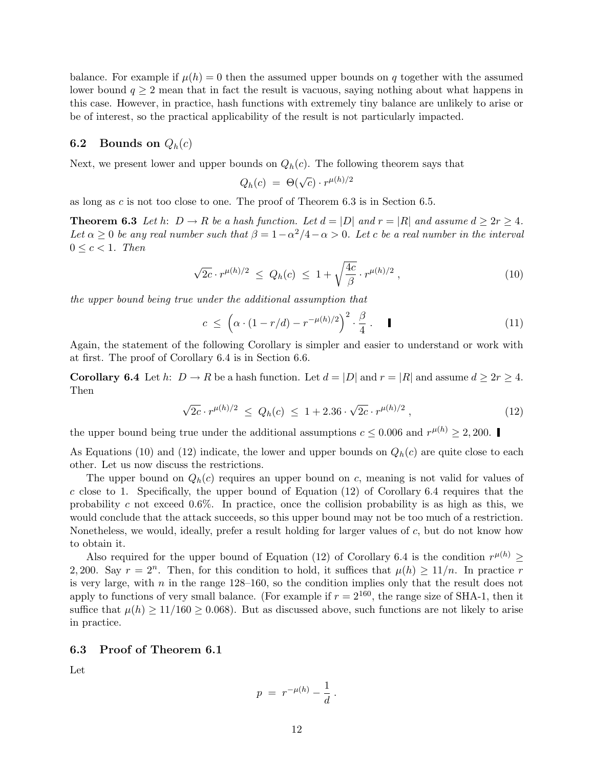balance. For example if  $\mu(h) = 0$  then the assumed upper bounds on q together with the assumed lower bound  $q \geq 2$  mean that in fact the result is vacuous, saying nothing about what happens in this case. However, in practice, hash functions with extremely tiny balance are unlikely to arise or be of interest, so the practical applicability of the result is not particularly impacted.

### **6.2** Bounds on  $Q_h(c)$

Next, we present lower and upper bounds on  $Q_h(c)$ . The following theorem says that

$$
Q_h(c) = \Theta(\sqrt{c}) \cdot r^{\mu(h)/2}
$$

as long as  $c$  is not too close to one. The proof of Theorem 6.3 is in Section 6.5.

**Theorem 6.3** Let h:  $D \to R$  be a hash function. Let  $d = |D|$  and  $r = |R|$  and assume  $d \geq 2r \geq 4$ . Let  $\alpha \geq 0$  be any real number such that  $\beta = 1 - \alpha^2/4 - \alpha > 0$ . Let c be a real number in the interval  $0 \leq c \leq 1$ . Then

$$
\sqrt{2c} \cdot r^{\mu(h)/2} \le Q_h(c) \le 1 + \sqrt{\frac{4c}{\beta}} \cdot r^{\mu(h)/2}, \qquad (10)
$$

the upper bound being true under the additional assumption that

$$
c \leq \left(\alpha \cdot (1 - r/d) - r^{-\mu(h)/2}\right)^2 \cdot \frac{\beta}{4} \,. \tag{11}
$$

Again, the statement of the following Corollary is simpler and easier to understand or work with at first. The proof of Corollary 6.4 is in Section 6.6.

**Corollary 6.4** Let h:  $D \to R$  be a hash function. Let  $d = |D|$  and  $r = |R|$  and assume  $d \geq 2r \geq 4$ . Then

$$
\sqrt{2c} \cdot r^{\mu(h)/2} \le Q_h(c) \le 1 + 2.36 \cdot \sqrt{2c} \cdot r^{\mu(h)/2}, \qquad (12)
$$

the upper bound being true under the additional assumptions  $c \le 0.006$  and  $r^{\mu(h)} \ge 2,200$ .

As Equations (10) and (12) indicate, the lower and upper bounds on  $Q_h(c)$  are quite close to each other. Let us now discuss the restrictions.

The upper bound on  $Q_h(c)$  requires an upper bound on c, meaning is not valid for values of c close to 1. Specifically, the upper bound of Equation  $(12)$  of Corollary 6.4 requires that the probability c not exceed  $0.6\%$ . In practice, once the collision probability is as high as this, we would conclude that the attack succeeds, so this upper bound may not be too much of a restriction. Nonetheless, we would, ideally, prefer a result holding for larger values of  $c$ , but do not know how to obtain it.

Also required for the upper bound of Equation (12) of Corollary 6.4 is the condition  $r^{\mu(h)} \geq$ 2, 200. Say  $r = 2^n$ . Then, for this condition to hold, it suffices that  $\mu(h) \geq 11/n$ . In practice r is very large, with  $n$  in the range 128–160, so the condition implies only that the result does not apply to functions of very small balance. (For example if  $r = 2^{160}$ , the range size of SHA-1, then it suffice that  $\mu(h) \ge 11/160 \ge 0.068$ . But as discussed above, such functions are not likely to arise in practice.

#### 6.3 Proof of Theorem 6.1

Let

$$
p = r^{-\mu(h)} - \frac{1}{d} \, .
$$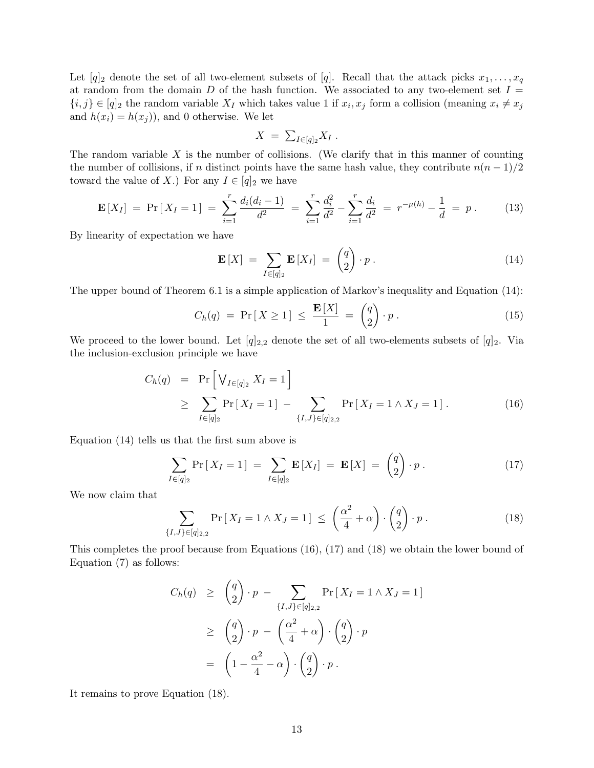Let  $[q]_2$  denote the set of all two-element subsets of  $[q]$ . Recall that the attack picks  $x_1, \ldots, x_q$ at random from the domain D of the hash function. We associated to any two-element set  $I =$  $\{i, j\} \in [q]_2$  the random variable  $X_I$  which takes value 1 if  $x_i, x_j$  form a collision (meaning  $x_i \neq x_j$ and  $h(x_i) = h(x_j)$ , and 0 otherwise. We let

$$
X = \sum_{I \in [q]_2} X_I.
$$

The random variable  $X$  is the number of collisions. (We clarify that in this manner of counting the number of collisions, if n distinct points have the same hash value, they contribute  $n(n-1)/2$ toward the value of X.) For any  $I \in [q]_2$  we have

$$
\mathbf{E}\left[X_{I}\right] = \Pr\left[X_{I} = 1\right] = \sum_{i=1}^{r} \frac{d_{i}(d_{i} - 1)}{d^{2}} = \sum_{i=1}^{r} \frac{d_{i}^{2}}{d^{2}} - \sum_{i=1}^{r} \frac{d_{i}}{d^{2}} = r^{-\mu(h)} - \frac{1}{d} = p. \tag{13}
$$

By linearity of expectation we have

$$
\mathbf{E}[X] = \sum_{I \in [q]_2} \mathbf{E}[X_I] = \begin{pmatrix} q \\ 2 \end{pmatrix} \cdot p \,. \tag{14}
$$

The upper bound of Theorem 6.1 is a simple application of Markov's inequality and Equation (14):

$$
C_h(q) = \Pr[X \ge 1] \le \frac{\mathbf{E}[X]}{1} = \begin{pmatrix} q \\ 2 \end{pmatrix} \cdot p \,. \tag{15}
$$

We proceed to the lower bound. Let  $[q]_{2,2}$  denote the set of all two-elements subsets of  $[q]_2$ . Via the inclusion-exclusion principle we have

$$
C_h(q) = \Pr\left[\bigvee_{I \in [q]_2} X_I = 1\right]
$$
  
\n
$$
\geq \sum_{I \in [q]_2} \Pr\left[X_I = 1\right] - \sum_{\{I, J\} \in [q]_{2,2}} \Pr\left[X_I = 1 \land X_J = 1\right].
$$
 (16)

Equation (14) tells us that the first sum above is

$$
\sum_{I \in [q]_2} \Pr\left[X_I = 1\right] = \sum_{I \in [q]_2} \mathbf{E}\left[X_I\right] = \mathbf{E}\left[X\right] = \begin{pmatrix} q \\ 2 \end{pmatrix} \cdot p \,. \tag{17}
$$

We now claim that

$$
\sum_{\{I,J\} \in [q]_{2,2}} \Pr\left[X_I = 1 \wedge X_J = 1\right] \leq \left(\frac{\alpha^2}{4} + \alpha\right) \cdot \binom{q}{2} \cdot p \,. \tag{18}
$$

This completes the proof because from Equations (16), (17) and (18) we obtain the lower bound of Equation (7) as follows:

$$
C_h(q) \geq {q \choose 2} \cdot p - \sum_{\{I,J\} \in [q]_{2,2}} \Pr\left[X_I = 1 \land X_J = 1\right]
$$
  

$$
\geq {q \choose 2} \cdot p - {(\frac{\alpha^2}{4} + \alpha) \cdot {q \choose 2} \cdot p}
$$
  

$$
= (1 - \frac{\alpha^2}{4} - \alpha) \cdot {q \choose 2} \cdot p.
$$

It remains to prove Equation (18).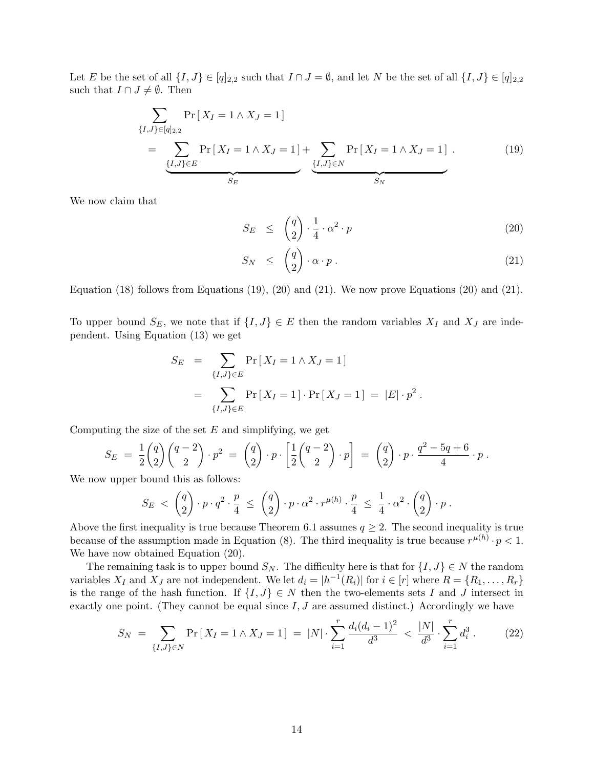Let E be the set of all  $\{I, J\} \in [q]_{2,2}$  such that  $I \cap J = \emptyset$ , and let N be the set of all  $\{I, J\} \in [q]_{2,2}$ such that  $I \cap J \neq \emptyset$ . Then

$$
\sum_{\{I,J\} \in [q]_{2,2}} \Pr\left[X_I = 1 \land X_J = 1\right] \\
= \underbrace{\sum_{\{I,J\} \in E} \Pr\left[X_I = 1 \land X_J = 1\right]}_{S_E} + \underbrace{\sum_{\{I,J\} \in N} \Pr\left[X_I = 1 \land X_J = 1\right]}_{S_N} . \tag{19}
$$

We now claim that

$$
S_E \leq \binom{q}{2} \cdot \frac{1}{4} \cdot \alpha^2 \cdot p \tag{20}
$$

$$
S_N \leq \binom{q}{2} \cdot \alpha \cdot p \,. \tag{21}
$$

Equation (18) follows from Equations (19), (20) and (21). We now prove Equations (20) and (21).

To upper bound  $S_E$ , we note that if  $\{I, J\} \in E$  then the random variables  $X_I$  and  $X_J$  are independent. Using Equation (13) we get

$$
S_E = \sum_{\{I,J\} \in E} \Pr[X_I = 1 \land X_J = 1] \\
= \sum_{\{I,J\} \in E} \Pr[X_I = 1] \cdot \Pr[X_J = 1] = |E| \cdot p^2.
$$

Computing the size of the set  $E$  and simplifying, we get

$$
S_E = \frac{1}{2} {q \choose 2} {q-2 \choose 2} \cdot p^2 = {q \choose 2} \cdot p \cdot \left[ \frac{1}{2} {q-2 \choose 2} \cdot p \right] = {q \choose 2} \cdot p \cdot \frac{q^2 - 5q + 6}{4} \cdot p.
$$

We now upper bound this as follows:

$$
S_E \; < \; \left(\frac{q}{2}\right)\cdot p\cdot q^2\cdot \frac{p}{4} \; \leq \; \left(\frac{q}{2}\right)\cdot p\cdot \alpha^2\cdot r^{\mu(h)}\cdot \frac{p}{4} \; \leq \; \frac{1}{4}\cdot \alpha^2\cdot \binom{q}{2}\cdot p \; .
$$

Above the first inequality is true because Theorem 6.1 assumes  $q \geq 2$ . The second inequality is true because of the assumption made in Equation (8). The third inequality is true because  $r^{\mu(h)} \cdot p < 1$ . We have now obtained Equation (20).

The remaining task is to upper bound  $S_N$ . The difficulty here is that for  $\{I, J\} \in N$  the random variables  $X_I$  and  $X_J$  are not independent. We let  $d_i = |h^{-1}(R_i)|$  for  $i \in [r]$  where  $R = \{R_1, \ldots, R_r\}$ is the range of the hash function. If  $\{I, J\} \in N$  then the two-elements sets I and J intersect in exactly one point. (They cannot be equal since  $I, J$  are assumed distinct.) Accordingly we have

$$
S_N = \sum_{\{I,J\} \in N} \Pr\left[X_I = 1 \land X_J = 1\right] = |N| \cdot \sum_{i=1}^r \frac{d_i (d_i - 1)^2}{d^3} < \frac{|N|}{d^3} \cdot \sum_{i=1}^r d_i^3. \tag{22}
$$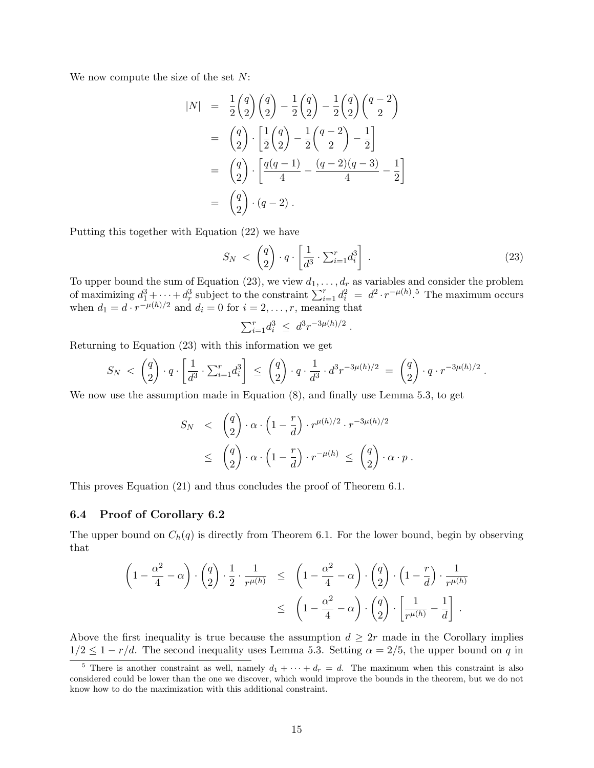We now compute the size of the set  $N$ :

$$
|N| = \frac{1}{2} {q \choose 2} {q \choose 2} - \frac{1}{2} {q \choose 2} - \frac{1}{2} {q \choose 2} {q-2 \choose 2}
$$
  
\n
$$
= {q \choose 2} \cdot \left[ \frac{1}{2} {q \choose 2} - \frac{1}{2} {q-2 \choose 2} - \frac{1}{2} \right]
$$
  
\n
$$
= {q \choose 2} \cdot \left[ \frac{q(q-1)}{4} - \frac{(q-2)(q-3)}{4} - \frac{1}{2} \right]
$$
  
\n
$$
= {q \choose 2} \cdot (q-2).
$$

Putting this together with Equation (22) we have

$$
S_N \, < \, \left(\frac{q}{2}\right) \cdot q \cdot \left[\frac{1}{d^3} \cdot \sum_{i=1}^r d_i^3\right] \,. \tag{23}
$$

To upper bound the sum of Equation (23), we view  $d_1, \ldots, d_r$  as variables and consider the problem of maximizing  $d_1^3 + \cdots + d_r^3$  subject to the constraint  $\sum_{i=1}^r d_i^2 = d^2 \cdot r^{-\mu(h)}$ .<sup>5</sup> The maximum occurs when  $d_1 = d \cdot r^{-\mu(h)/2}$  and  $d_i = 0$  for  $i = 2, \dots, r$ , meaning that

$$
\sum_{i=1}^r d_i^3 \ \leq \ d^3 r^{-3\mu(h)/2} \ .
$$

Returning to Equation (23) with this information we get

$$
S_N \, < \, \left(\frac{q}{2}\right) \cdot q \cdot \left[\frac{1}{d^3} \cdot \sum_{i=1}^r d_i^3\right] \, \le \, \left(\frac{q}{2}\right) \cdot q \cdot \frac{1}{d^3} \cdot d^3 r^{-3\mu(h)/2} \, = \, \left(\frac{q}{2}\right) \cdot q \cdot r^{-3\mu(h)/2} \; .
$$

We now use the assumption made in Equation (8), and finally use Lemma 5.3, to get

$$
S_N \quad < \quad \binom{q}{2} \cdot \alpha \cdot \left(1 - \frac{r}{d}\right) \cdot r^{\mu(h)/2} \cdot r^{-3\mu(h)/2}
$$
\n
$$
\quad \leq \quad \binom{q}{2} \cdot \alpha \cdot \left(1 - \frac{r}{d}\right) \cdot r^{-\mu(h)} \leq \quad \binom{q}{2} \cdot \alpha \cdot p \; .
$$

This proves Equation (21) and thus concludes the proof of Theorem 6.1.

#### 6.4 Proof of Corollary 6.2

The upper bound on  $C_h(q)$  is directly from Theorem 6.1. For the lower bound, begin by observing that

$$
\left(1 - \frac{\alpha^2}{4} - \alpha\right) \cdot \binom{q}{2} \cdot \frac{1}{2} \cdot \frac{1}{r^{\mu(h)}} \le \left(1 - \frac{\alpha^2}{4} - \alpha\right) \cdot \binom{q}{2} \cdot \left(1 - \frac{r}{d}\right) \cdot \frac{1}{r^{\mu(h)}} \le \left(1 - \frac{\alpha^2}{4} - \alpha\right) \cdot \binom{q}{2} \cdot \left[\frac{1}{r^{\mu(h)}} - \frac{1}{d}\right].
$$

Above the first inequality is true because the assumption  $d \geq 2r$  made in the Corollary implies  $1/2 \leq 1 - r/d$ . The second inequality uses Lemma 5.3. Setting  $\alpha = 2/5$ , the upper bound on q in

<sup>&</sup>lt;sup>5</sup> There is another constraint as well, namely  $d_1 + \cdots + d_r = d$ . The maximum when this constraint is also considered could be lower than the one we discover, which would improve the bounds in the theorem, but we do not know how to do the maximization with this additional constraint.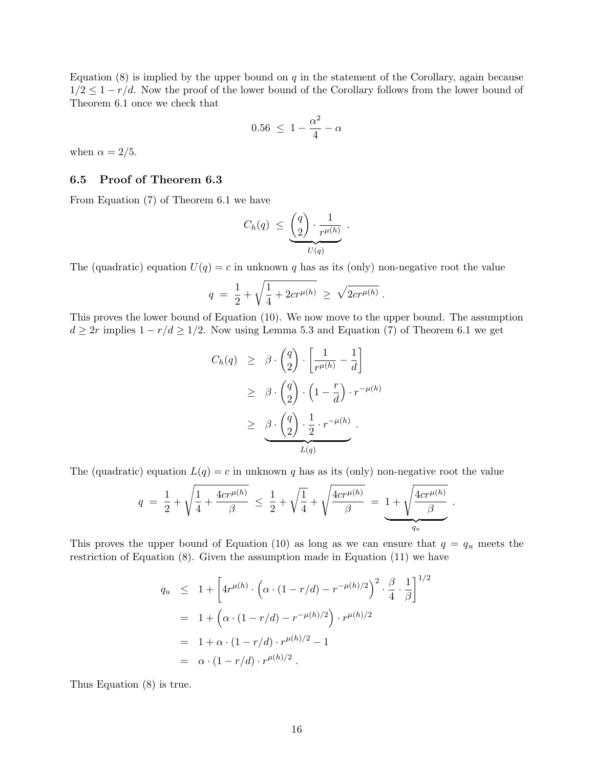Equation  $(8)$  is implied by the upper bound on q in the statement of the Corollary, again because  $1/2 \leq 1 - r/d$ . Now the proof of the lower bound of the Corollary follows from the lower bound of Theorem 6.1 once we check that

$$
0.56 \ \leq \ 1 - \frac{\alpha^2}{4} - \alpha
$$

when  $\alpha = 2/5$ .

### 6.5 Proof of Theorem 6.3

From Equation (7) of Theorem 6.1 we have

$$
C_h(q) \leq \underbrace{\binom{q}{2} \cdot \frac{1}{r^{\mu(h)}}}_{U(q)}.
$$

The (quadratic) equation  $U(q) = c$  in unknown q has as its (only) non-negative root the value

$$
q = \frac{1}{2} + \sqrt{\frac{1}{4} + 2cr^{\mu(h)}} \ge \sqrt{2cr^{\mu(h)}}.
$$

This proves the lower bound of Equation (10). We now move to the upper bound. The assumption  $d \geq 2r$  implies  $1 - r/d \geq 1/2$ . Now using Lemma 5.3 and Equation (7) of Theorem 6.1 we get

$$
C_h(q) \geq \beta \cdot {q \choose 2} \cdot \left[ \frac{1}{r^{\mu(h)}} - \frac{1}{d} \right]
$$
  
\n
$$
\geq \beta \cdot {q \choose 2} \cdot \left(1 - \frac{r}{d}\right) \cdot r^{-\mu(h)}
$$
  
\n
$$
\geq \underbrace{\beta \cdot {q \choose 2} \cdot \frac{1}{2} \cdot r^{-\mu(h)}}_{L(q)}.
$$

The (quadratic) equation  $L(q) = c$  in unknown q has as its (only) non-negative root the value

$$
q = \frac{1}{2} + \sqrt{\frac{1}{4} + \frac{4cr^{\mu(h)}}{\beta}} \leq \frac{1}{2} + \sqrt{\frac{1}{4}} + \sqrt{\frac{4cr^{\mu(h)}}{\beta}} = \underbrace{1 + \sqrt{\frac{4cr^{\mu(h)}}{\beta}}}_{q_u}.
$$

This proves the upper bound of Equation (10) as long as we can ensure that  $q = q_u$  meets the restriction of Equation (8). Given the assumption made in Equation (11) we have

$$
q_u \leq 1 + \left[ 4r^{\mu(h)} \cdot \left( \alpha \cdot (1 - r/d) - r^{-\mu(h)/2} \right)^2 \cdot \frac{\beta}{4} \cdot \frac{1}{\beta} \right]^{1/2}
$$
  
= 1 + \left( \alpha \cdot (1 - r/d) - r^{-\mu(h)/2} \right) \cdot r^{\mu(h)/2}  
= 1 + \alpha \cdot (1 - r/d) \cdot r^{\mu(h)/2} - 1  
= \alpha \cdot (1 - r/d) \cdot r^{\mu(h)/2}.

Thus Equation (8) is true.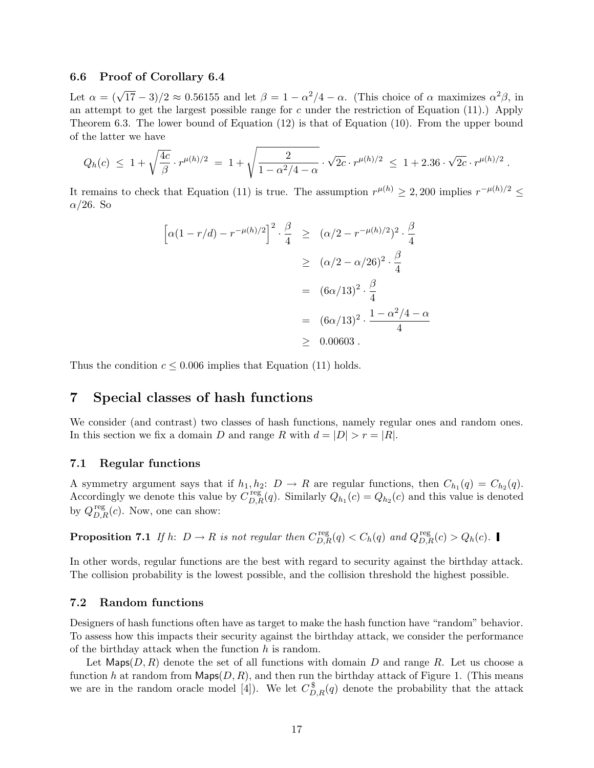#### 6.6 Proof of Corollary 6.4

Let  $\alpha = (\sqrt{17} - 3)/2 \approx 0.56155$  and let  $\beta = 1 - \alpha^2/4 - \alpha$ . (This choice of  $\alpha$  maximizes  $\alpha^2 \beta$ , in an attempt to get the largest possible range for c under the restriction of Equation  $(11)$ .) Apply Theorem 6.3. The lower bound of Equation (12) is that of Equation (10). From the upper bound of the latter we have

$$
Q_h(c) \leq 1 + \sqrt{\frac{4c}{\beta}} \cdot r^{\mu(h)/2} = 1 + \sqrt{\frac{2}{1 - \alpha^2/4 - \alpha}} \cdot \sqrt{2c} \cdot r^{\mu(h)/2} \leq 1 + 2.36 \cdot \sqrt{2c} \cdot r^{\mu(h)/2}.
$$

It remains to check that Equation (11) is true. The assumption  $r^{\mu(h)} \geq 2{,}200$  implies  $r^{-\mu(h)/2} \leq$  $\alpha/26$ . So

$$
\left[\alpha(1 - r/d) - r^{-\mu(h)/2}\right]^2 \cdot \frac{\beta}{4} \ge (\alpha/2 - r^{-\mu(h)/2})^2 \cdot \frac{\beta}{4}
$$
  
 
$$
\ge (\alpha/2 - \alpha/26)^2 \cdot \frac{\beta}{4}
$$
  
 
$$
= (6\alpha/13)^2 \cdot \frac{\beta}{4}
$$
  
 
$$
= (6\alpha/13)^2 \cdot \frac{1 - \alpha^2/4 - \alpha}{4}
$$
  
 
$$
\ge 0.00603.
$$

Thus the condition  $c \leq 0.006$  implies that Equation (11) holds.

# 7 Special classes of hash functions

We consider (and contrast) two classes of hash functions, namely regular ones and random ones. In this section we fix a domain D and range R with  $d = |D| > r = |R|$ .

#### 7.1 Regular functions

A symmetry argument says that if  $h_1, h_2$ :  $D \to R$  are regular functions, then  $C_{h_1}(q) = C_{h_2}(q)$ . Accordingly we denote this value by  $C_{D,R}^{\text{reg}}(q)$ . Similarly  $Q_{h_1}(c) = Q_{h_2}(c)$  and this value is denoted by  $Q_{D,R}^{\text{reg}}(c)$ . Now, one can show:

**Proposition 7.1** If h:  $D \to R$  is not regular then  $C_{D,R}^{\text{reg}}(q) < C_h(q)$  and  $Q_{D,R}^{\text{reg}}(c) > Q_h(c)$ .

In other words, regular functions are the best with regard to security against the birthday attack. The collision probability is the lowest possible, and the collision threshold the highest possible.

#### 7.2 Random functions

Designers of hash functions often have as target to make the hash function have "random" behavior. To assess how this impacts their security against the birthday attack, we consider the performance of the birthday attack when the function  $h$  is random.

Let Maps $(D, R)$  denote the set of all functions with domain D and range R. Let us choose a function h at random from  $\mathsf{Maps}(D, R)$ , and then run the birthday attack of Figure 1. (This means we are in the random oracle model [4]). We let  $C_{D,R}^{\$}(q)$  denote the probability that the attack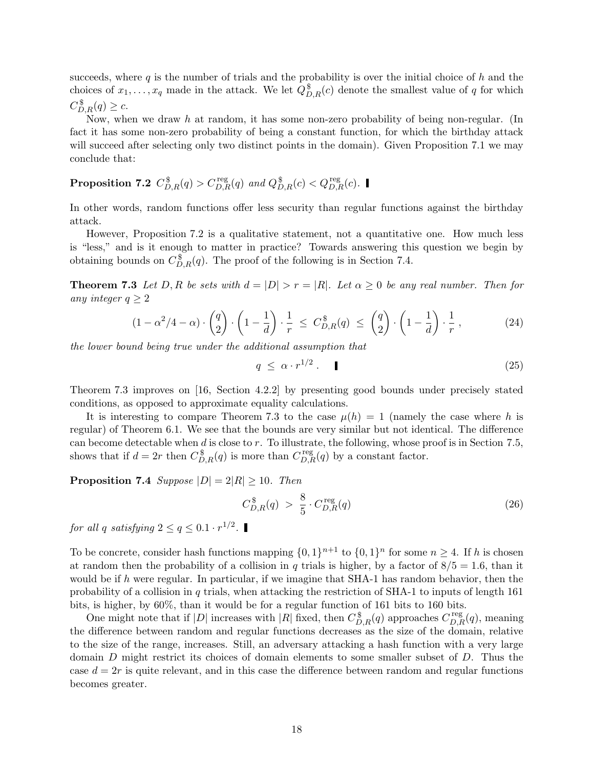succeeds, where  $q$  is the number of trials and the probability is over the initial choice of  $h$  and the choices of  $x_1, \ldots, x_q$  made in the attack. We let  $Q_{D,R}^{\$}(c)$  denote the smallest value of q for which  $C_{D,R}^{\$}(q) \geq c.$ 

Now, when we draw h at random, it has some non-zero probability of being non-regular. (In fact it has some non-zero probability of being a constant function, for which the birthday attack will succeed after selecting only two distinct points in the domain). Given Proposition 7.1 we may conclude that:

Proposition 7.2  $C_{D,R}^{\$}(q) > C_{D,R}^{\text{reg}}(q)$  and  $Q_{D,R}^{\$}(c) < Q_{D,R}^{\text{reg}}(c)$ .

In other words, random functions offer less security than regular functions against the birthday attack.

However, Proposition 7.2 is a qualitative statement, not a quantitative one. How much less is "less," and is it enough to matter in practice? Towards answering this question we begin by obtaining bounds on  $C_{D,R}^{\$}(q)$ . The proof of the following is in Section 7.4.

**Theorem 7.3** Let D, R be sets with  $d = |D| > r = |R|$ . Let  $\alpha \geq 0$  be any real number. Then for any integer  $q \geq 2$ 

$$
(1 - \alpha^2/4 - \alpha) \cdot \begin{pmatrix} q \\ 2 \end{pmatrix} \cdot \left(1 - \frac{1}{d}\right) \cdot \frac{1}{r} \le C_{D,R}^{\$}(q) \le \begin{pmatrix} q \\ 2 \end{pmatrix} \cdot \left(1 - \frac{1}{d}\right) \cdot \frac{1}{r},
$$
\n(24)

the lower bound being true under the additional assumption that

$$
q \leq \alpha \cdot r^{1/2} \tag{25}
$$

Theorem 7.3 improves on [16, Section 4.2.2] by presenting good bounds under precisely stated conditions, as opposed to approximate equality calculations.

It is interesting to compare Theorem 7.3 to the case  $\mu(h) = 1$  (namely the case where h is regular) of Theorem 6.1. We see that the bounds are very similar but not identical. The difference can become detectable when  $d$  is close to  $r$ . To illustrate, the following, whose proof is in Section 7.5, shows that if  $d = 2r$  then  $C_{D,R}^{\$}(q)$  is more than  $C_{D,R}^{\text{reg}}(q)$  by a constant factor.

**Proposition 7.4** Suppose  $|D| = 2|R| \ge 10$ . Then

$$
C_{D,R}^{\$}(q) > \frac{8}{5} \cdot C_{D,R}^{\text{reg}}(q) \tag{26}
$$

for all q satisfying  $2 \le q \le 0.1 \cdot r^{1/2}$ .

To be concrete, consider hash functions mapping  $\{0,1\}^{n+1}$  to  $\{0,1\}^n$  for some  $n \geq 4$ . If h is chosen at random then the probability of a collision in q trials is higher, by a factor of  $8/5 = 1.6$ , than it would be if h were regular. In particular, if we imagine that SHA-1 has random behavior, then the probability of a collision in  $q$  trials, when attacking the restriction of SHA-1 to inputs of length 161 bits, is higher, by 60%, than it would be for a regular function of 161 bits to 160 bits.

One might note that if  $|D|$  increases with  $|R|$  fixed, then  $C_{D,R}^{\$}(q)$  approaches  $C_{D,R}^{\text{reg}}(q)$ , meaning the difference between random and regular functions decreases as the size of the domain, relative to the size of the range, increases. Still, an adversary attacking a hash function with a very large domain D might restrict its choices of domain elements to some smaller subset of D. Thus the case  $d = 2r$  is quite relevant, and in this case the difference between random and regular functions becomes greater.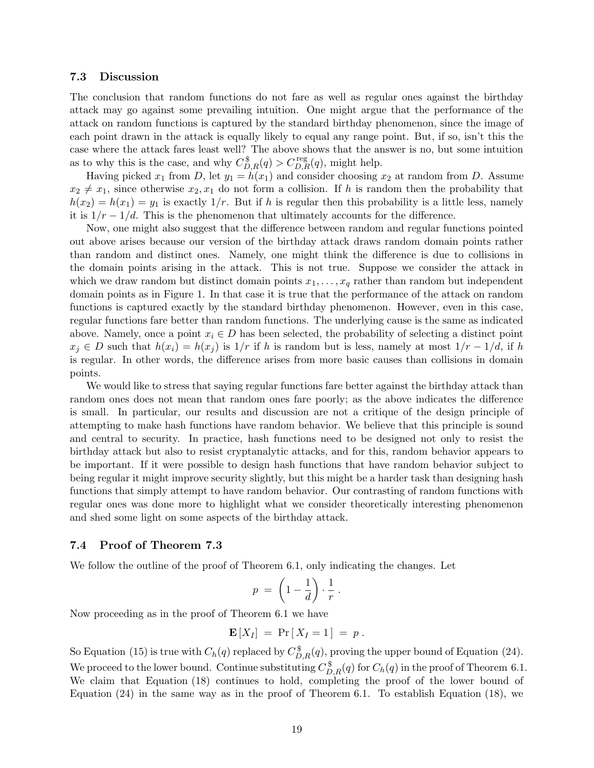#### 7.3 Discussion

The conclusion that random functions do not fare as well as regular ones against the birthday attack may go against some prevailing intuition. One might argue that the performance of the attack on random functions is captured by the standard birthday phenomenon, since the image of each point drawn in the attack is equally likely to equal any range point. But, if so, isn't this the case where the attack fares least well? The above shows that the answer is no, but some intuition as to why this is the case, and why  $C_{D,R}^{\$}(q) > C_{D,R}^{\text{reg}}(q)$ , might help.

Having picked  $x_1$  from D, let  $y_1 = h(x_1)$  and consider choosing  $x_2$  at random from D. Assume  $x_2 \neq x_1$ , since otherwise  $x_2, x_1$  do not form a collision. If h is random then the probability that  $h(x_2) = h(x_1) = y_1$  is exactly  $1/r$ . But if h is regular then this probability is a little less, namely it is  $1/r - 1/d$ . This is the phenomenon that ultimately accounts for the difference.

Now, one might also suggest that the difference between random and regular functions pointed out above arises because our version of the birthday attack draws random domain points rather than random and distinct ones. Namely, one might think the difference is due to collisions in the domain points arising in the attack. This is not true. Suppose we consider the attack in which we draw random but distinct domain points  $x_1, \ldots, x_q$  rather than random but independent domain points as in Figure 1. In that case it is true that the performance of the attack on random functions is captured exactly by the standard birthday phenomenon. However, even in this case, regular functions fare better than random functions. The underlying cause is the same as indicated above. Namely, once a point  $x_i \in D$  has been selected, the probability of selecting a distinct point  $x_j \in D$  such that  $h(x_i) = h(x_j)$  is  $1/r$  if h is random but is less, namely at most  $1/r - 1/d$ , if h is regular. In other words, the difference arises from more basic causes than collisions in domain points.

We would like to stress that saying regular functions fare better against the birthday attack than random ones does not mean that random ones fare poorly; as the above indicates the difference is small. In particular, our results and discussion are not a critique of the design principle of attempting to make hash functions have random behavior. We believe that this principle is sound and central to security. In practice, hash functions need to be designed not only to resist the birthday attack but also to resist cryptanalytic attacks, and for this, random behavior appears to be important. If it were possible to design hash functions that have random behavior subject to being regular it might improve security slightly, but this might be a harder task than designing hash functions that simply attempt to have random behavior. Our contrasting of random functions with regular ones was done more to highlight what we consider theoretically interesting phenomenon and shed some light on some aspects of the birthday attack.

#### 7.4 Proof of Theorem 7.3

We follow the outline of the proof of Theorem 6.1, only indicating the changes. Let

$$
p = \left(1 - \frac{1}{d}\right) \cdot \frac{1}{r} \, .
$$

Now proceeding as in the proof of Theorem 6.1 we have

$$
\mathbf{E}[X_I] = \Pr[X_I = 1] = p.
$$

So Equation (15) is true with  $C_h(q)$  replaced by  $C_{D,R}^{\$}(q)$ , proving the upper bound of Equation (24). We proceed to the lower bound. Continue substituting  $C_{D,R}^{\$}(q)$  for  $C_h(q)$  in the proof of Theorem 6.1. We claim that Equation (18) continues to hold, completing the proof of the lower bound of Equation  $(24)$  in the same way as in the proof of Theorem 6.1. To establish Equation  $(18)$ , we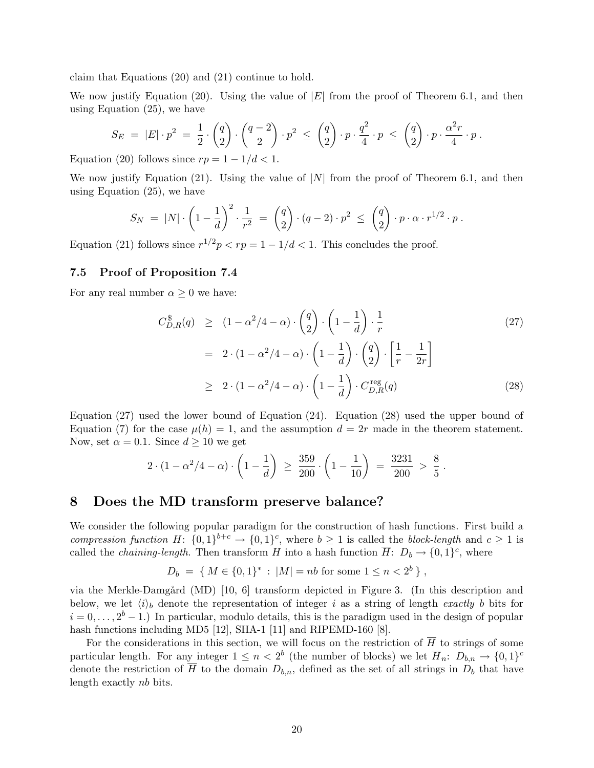claim that Equations (20) and (21) continue to hold.

We now justify Equation (20). Using the value of  $|E|$  from the proof of Theorem 6.1, and then using Equation (25), we have

$$
S_E = |E| \cdot p^2 = \frac{1}{2} \cdot {q \choose 2} \cdot {q-2 \choose 2} \cdot p^2 \le {q \choose 2} \cdot p \cdot \frac{q^2}{4} \cdot p \le {q \choose 2} \cdot p \cdot \frac{\alpha^2 r}{4} \cdot p.
$$

Equation (20) follows since  $rp = 1 - 1/d < 1$ .

We now justify Equation (21). Using the value of  $|N|$  from the proof of Theorem 6.1, and then using Equation (25), we have

$$
S_N = |N| \cdot \left(1 - \frac{1}{d}\right)^2 \cdot \frac{1}{r^2} = {q \choose 2} \cdot (q-2) \cdot p^2 \le {q \choose 2} \cdot p \cdot \alpha \cdot r^{1/2} \cdot p.
$$

Equation (21) follows since  $r^{1/2}p < rp = 1 - 1/d < 1$ . This concludes the proof.

### 7.5 Proof of Proposition 7.4

For any real number  $\alpha \geq 0$  we have:

$$
C_{D,R}^{\$}(q) \ge (1 - \alpha^2/4 - \alpha) \cdot {q \choose 2} \cdot \left(1 - \frac{1}{d}\right) \cdot \frac{1}{r}
$$
\n
$$
= 2 \cdot (1 - \alpha^2/4 - \alpha) \cdot \left(1 - \frac{1}{d}\right) \cdot {q \choose 2} \cdot \left[\frac{1}{r} - \frac{1}{2r}\right]
$$
\n
$$
\ge 2 \cdot (1 - \alpha^2/4 - \alpha) \cdot \left(1 - \frac{1}{d}\right) \cdot C_{D,R}^{\text{reg}}(q)
$$
\n(28)

.

Equation (27) used the lower bound of Equation (24). Equation (28) used the upper bound of Equation (7) for the case  $\mu(h) = 1$ , and the assumption  $d = 2r$  made in the theorem statement. Now, set  $\alpha = 0.1$ . Since  $d \ge 10$  we get

$$
2 \cdot (1 - \alpha^2/4 - \alpha) \cdot \left(1 - \frac{1}{d}\right) \ge \frac{359}{200} \cdot \left(1 - \frac{1}{10}\right) = \frac{3231}{200} > \frac{8}{5}
$$

### 8 Does the MD transform preserve balance?

We consider the following popular paradigm for the construction of hash functions. First build a compression function H:  $\{0,1\}^{b+c} \to \{0,1\}^c$ , where  $b \ge 1$  is called the block-length and  $c \ge 1$  is called the *chaining-length*. Then transform H into a hash function  $\overline{H}$ :  $D_b \rightarrow \{0, 1\}^c$ , where

$$
D_b = \{ M \in \{0,1\}^* : |M| = nb \text{ for some } 1 \le n < 2^b \},
$$

via the Merkle-Damgård (MD) [10, 6] transform depicted in Figure 3. (In this description and below, we let  $\langle i \rangle_b$  denote the representation of integer i as a string of length exactly b bits for  $i = 0, \ldots, 2<sup>b</sup> - 1$ .) In particular, modulo details, this is the paradigm used in the design of popular hash functions including MD5 [12], SHA-1 [11] and RIPEMD-160 [8].

For the considerations in this section, we will focus on the restriction of  $\overline{H}$  to strings of some particular length. For any integer  $1 \leq n < 2^b$  (the number of blocks) we let  $\overline{H}_n: D_{b,n} \to \{0,1\}^c$ denote the restriction of  $\overline{H}$  to the domain  $D_{b,n}$ , defined as the set of all strings in  $D_b$  that have length exactly nb bits.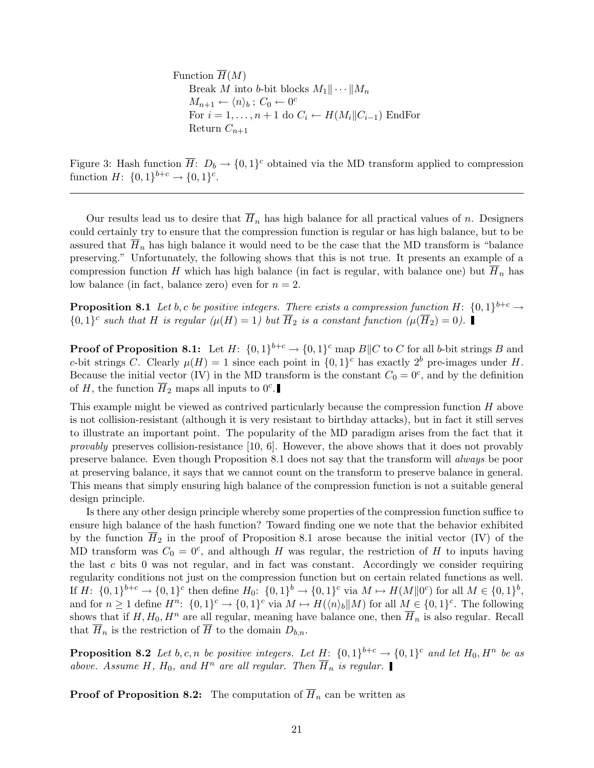Function  $\overline{H}(M)$ Break M into b-bit blocks  $M_1 \|\cdots \| M_n$  $M_{n+1} \leftarrow \langle n \rangle_b ; C_0 \leftarrow 0^c$ For  $i = 1, ..., n + 1$  do  $C_i \leftarrow H(M_i || C_{i-1})$  EndFor Return  $C_{n+1}$ 

Figure 3: Hash function  $\overline{H}$ :  $D_b \to \{0,1\}^c$  obtained via the MD transform applied to compression function  $H: \{0,1\}^{b+c} \to \{0,1\}^c$ .

Our results lead us to desire that  $\overline{H}_n$  has high balance for all practical values of n. Designers could certainly try to ensure that the compression function is regular or has high balance, but to be assured that  $\overline{H}_n$  has high balance it would need to be the case that the MD transform is "balance" preserving." Unfortunately, the following shows that this is not true. It presents an example of a compression function H which has high balance (in fact is regular, with balance one) but  $\overline{H}_n$  has low balance (in fact, balance zero) even for  $n = 2$ .

**Proposition 8.1** Let b, c be positive integers. There exists a compression function H:  $\{0,1\}^{b+c} \rightarrow$  $\{0,1\}^c$  such that H is regular  $(\mu(H) = 1)$  but  $\overline{H}_2$  is a constant function  $(\mu(\overline{H}_2) = 0)$ .

**Proof of Proposition 8.1:** Let  $H: \{0,1\}^{b+c} \to \{0,1\}^c$  map  $B||C$  to C for all b-bit strings B and c-bit strings C. Clearly  $\mu(H) = 1$  since each point in  $\{0, 1\}^c$  has exactly  $2^b$  pre-images under H. Because the initial vector (IV) in the MD transform is the constant  $C_0 = 0^c$ , and by the definition of H, the function  $\overline{H}_2$  maps all inputs to  $0^c$ .

This example might be viewed as contrived particularly because the compression function  $H$  above is not collision-resistant (although it is very resistant to birthday attacks), but in fact it still serves to illustrate an important point. The popularity of the MD paradigm arises from the fact that it *provably* preserves collision-resistance  $[10, 6]$ . However, the above shows that it does not provably preserve balance. Even though Proposition 8.1 does not say that the transform will always be poor at preserving balance, it says that we cannot count on the transform to preserve balance in general. This means that simply ensuring high balance of the compression function is not a suitable general design principle.

Is there any other design principle whereby some properties of the compression function suffice to ensure high balance of the hash function? Toward finding one we note that the behavior exhibited by the function  $\overline{H}_2$  in the proof of Proposition 8.1 arose because the initial vector (IV) of the MD transform was  $C_0 = 0^c$ , and although H was regular, the restriction of H to inputs having the last  $c$  bits 0 was not regular, and in fact was constant. Accordingly we consider requiring regularity conditions not just on the compression function but on certain related functions as well. If  $H: \{0,1\}^{b+c} \to \{0,1\}^c$  then define  $H_0: \{0,1\}^b \to \{0,1\}^c$  via  $M \mapsto H(M||0^c)$  for all  $M \in \{0,1\}^b$ , and for  $n \geq 1$  define  $H^n$ :  $\{0,1\}^c \to \{0,1\}^c$  via  $M \mapsto H(\langle n \rangle_b || M)$  for all  $M \in \{0,1\}^c$ . The following shows that if  $H, H_0, H^n$  are all regular, meaning have balance one, then  $\overline{H}_n$  is also regular. Recall that  $\overline{H}_n$  is the restriction of  $\overline{H}$  to the domain  $D_{b,n}$ .

**Proposition 8.2** Let b, c, n be positive integers. Let  $\underline{H}$ :  $\{0,1\}^{b+c} \rightarrow \{0,1\}^c$  and let  $H_0$ ,  $H^n$  be as above. Assume H,  $H_0$ , and  $H^n$  are all regular. Then  $\overline{H}_n$  is regular.

**Proof of Proposition 8.2:** The computation of  $\overline{H}_n$  can be written as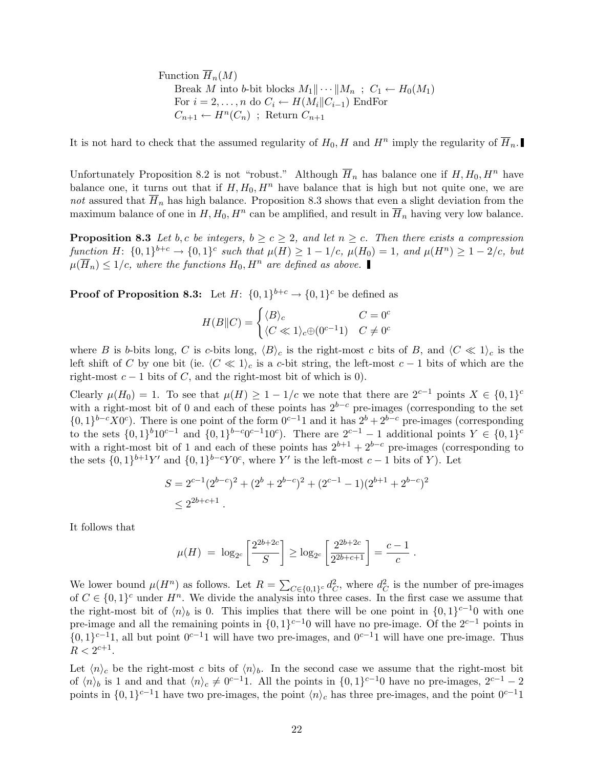Function  $\overline{H}_n(M)$ Break M into b-bit blocks  $M_1 \cdots \parallel M_n$ ;  $C_1 \leftarrow H_0(M_1)$ For  $i = 2, \ldots, n$  do  $C_i \leftarrow H(M_i || C_{i-1})$  EndFor  $C_{n+1} \leftarrow H^n(C_n)$ ; Return  $C_{n+1}$ 

It is not hard to check that the assumed regularity of  $H_0$ , H and  $H^n$  imply the regularity of  $\overline{H}_n$ .

Unfortunately Proposition 8.2 is not "robust." Although  $\overline{H}_n$  has balance one if  $H, H_0, H^n$  have balance one, it turns out that if  $H, H_0, H^n$  have balance that is high but not quite one, we are not assured that  $\overline{H}_n$  has high balance. Proposition 8.3 shows that even a slight deviation from the maximum balance of one in  $H, H_0, H^n$  can be amplified, and result in  $\overline{H}_n$  having very low balance.

**Proposition 8.3** Let b, c be integers,  $b \ge c \ge 2$ , and let  $n \ge c$ . Then there exists a compression function  $H: \{0,1\}^{b+c} \to \{0,1\}^c$  such that  $\mu(H) \geq 1-1/c$ ,  $\mu(H_0) = 1$ , and  $\mu(H^n) \geq 1-2/c$ , but  $\mu(\overline{H}_n) \leq 1/c$ , where the functions  $H_0, H^n$  are defined as above.

**Proof of Proposition 8.3:** Let  $H: \{0,1\}^{b+c} \to \{0,1\}^c$  be defined as

$$
H(B||C) = \begin{cases} \langle B \rangle_c & C = 0^c \\ \langle C \ll 1 \rangle_c \oplus (0^{c-1}1) & C \neq 0^c \end{cases}
$$

where B is b-bits long, C is c-bits long,  $\langle B \rangle_c$  is the right-most c bits of B, and  $\langle C \ll 1 \rangle_c$  is the left shift of C by one bit (ie.  $\langle C \ll 1 \rangle_c$  is a c-bit string, the left-most c − 1 bits of which are the right-most  $c - 1$  bits of C, and the right-most bit of which is 0).

Clearly  $\mu(H_0) = 1$ . To see that  $\mu(H) \geq 1 - 1/c$  we note that there are  $2^{c-1}$  points  $X \in \{0,1\}^c$ with a right-most bit of 0 and each of these points has  $2^{b-c}$  pre-images (corresponding to the set  $\{0,1\}^{b-c}X0^c$ ). There is one point of the form  $0^{c-1}1$  and it has  $2^b + 2^{b-c}$  pre-images (corresponding to the sets  $\{0,1\}^{b}10^{c-1}$  and  $\{0,1\}^{b-c}0^{c-1}10^{c}$ . There are  $2^{c-1}-1$  additional points  $Y \in \{0,1\}^{c}$ with a right-most bit of 1 and each of these points has  $2^{b+1} + 2^{b-c}$  pre-images (corresponding to the sets  $\{0,1\}^{b+1}Y'$  and  $\{0,1\}^{b-c}Y0^c$ , where Y' is the left-most  $c-1$  bits of Y). Let

$$
S = 2^{c-1}(2^{b-c})^2 + (2^b + 2^{b-c})^2 + (2^{c-1} - 1)(2^{b+1} + 2^{b-c})^2
$$
  
 
$$
\leq 2^{2b+c+1}.
$$

It follows that

$$
\mu(H) = \log_{2^c} \left[ \frac{2^{2b+2c}}{S} \right] \ge \log_{2^c} \left[ \frac{2^{2b+2c}}{2^{2b+c+1}} \right] = \frac{c-1}{c} \ .
$$

We lower bound  $\mu(H^n)$  as follows. Let  $R = \sum_{C \in \{0,1\}^c} d_C^2$ , where  $d_C^2$  is the number of pre-images of  $C \in \{0,1\}^c$  under  $H^n$ . We divide the analysis into three cases. In the first case we assume that the right-most bit of  $\langle n \rangle_b$  is 0. This implies that there will be one point in  $\{0, 1\}^{c-1}$  with one pre-image and all the remaining points in  $\{0,1\}^{c-1}$  will have no pre-image. Of the  $2^{c-1}$  points in  $\{0,1\}^{c-1}$ , all but point  $0^{c-1}$ 1 will have two pre-images, and  $0^{c-1}$ 1 will have one pre-image. Thus  $R < 2^{c+1}$ .

Let  $\langle n \rangle_c$  be the right-most c bits of  $\langle n \rangle_b$ . In the second case we assume that the right-most bit of  $\langle n \rangle_b$  is 1 and and that  $\langle n \rangle_c \neq 0^{c-1}1$ . All the points in  $\{0, 1\}^{c-1}0$  have no pre-images,  $2^{c-1} - 2$ points in  $\{0,1\}^{c-1}$  have two pre-images, the point  $\langle n \rangle_c$  has three pre-images, and the point  $0^{c-1}$  1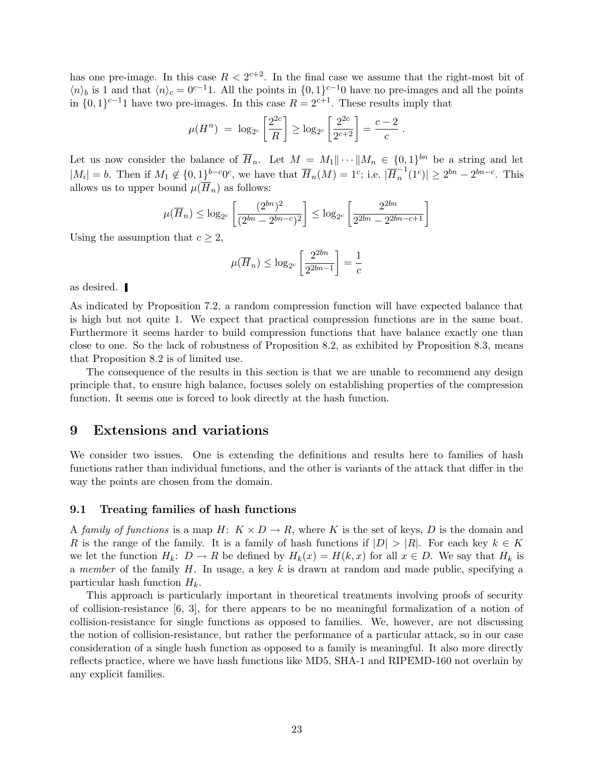has one pre-image. In this case  $R < 2^{c+2}$ . In the final case we assume that the right-most bit of  $\langle n \rangle_b$  is 1 and that  $\langle n \rangle_c = 0^{c-1}$ . All the points in  $\{0, 1\}^{c-1}$  have no pre-images and all the points in  $\{0,1\}^{c-1}$  have two pre-images. In this case  $R = 2^{c+1}$ . These results imply that

$$
\mu(H^n) = \log_{2^c} \left[ \frac{2^{2c}}{R} \right] \ge \log_{2^c} \left[ \frac{2^{2c}}{2^{c+2}} \right] = \frac{c-2}{c}.
$$

Let us now consider the balance of  $\overline{H}_n$ . Let  $M = M_1 || \cdots || M_n \in \{0,1\}^{bn}$  be a string and let  $|M_i|=b$ . Then if  $M_1 \notin \{0, 1\}^{b-c}0^c$ , we have that  $\overline{H}_n(M)=1^c$ ; i.e.  $|\overline{H}_n^{-1}$  $|n^{-1}(1^c)| \geq 2^{bn} - 2^{bn - c}$ . This allows us to upper bound  $\mu(\overline{H}_n)$  as follows:

$$
\mu(\overline{H}_n) \le \log_{2c} \left[ \frac{(2^{bn})^2}{(2^{bn} - 2^{bn - c})^2} \right] \le \log_{2c} \left[ \frac{2^{2bn}}{2^{2bn} - 2^{2bn - c + 1}} \right]
$$

Using the assumption that  $c \geq 2$ ,

$$
\mu(\overline{H}_n) \le \log_{2c} \left[ \frac{2^{2bn}}{2^{2bn-1}} \right] = \frac{1}{c}
$$

as desired.

As indicated by Proposition 7.2, a random compression function will have expected balance that is high but not quite 1. We expect that practical compression functions are in the same boat. Furthermore it seems harder to build compression functions that have balance exactly one than close to one. So the lack of robustness of Proposition 8.2, as exhibited by Proposition 8.3, means that Proposition 8.2 is of limited use.

The consequence of the results in this section is that we are unable to recommend any design principle that, to ensure high balance, focuses solely on establishing properties of the compression function. It seems one is forced to look directly at the hash function.

### 9 Extensions and variations

We consider two issues. One is extending the definitions and results here to families of hash functions rather than individual functions, and the other is variants of the attack that differ in the way the points are chosen from the domain.

#### 9.1 Treating families of hash functions

A family of functions is a map  $H: K \times D \to R$ , where K is the set of keys, D is the domain and R is the range of the family. It is a family of hash functions if  $|D| > |R|$ . For each key  $k \in K$ we let the function  $H_k: D \to R$  be defined by  $H_k(x) = H(k, x)$  for all  $x \in D$ . We say that  $H_k$  is a member of the family H. In usage, a key k is drawn at random and made public, specifying a particular hash function  $H_k$ .

This approach is particularly important in theoretical treatments involving proofs of security of collision-resistance  $[6, 3]$ , for there appears to be no meaningful formalization of a notion of collision-resistance for single functions as opposed to families. We, however, are not discussing the notion of collision-resistance, but rather the performance of a particular attack, so in our case consideration of a single hash function as opposed to a family is meaningful. It also more directly reflects practice, where we have hash functions like MD5, SHA-1 and RIPEMD-160 not overlain by any explicit families.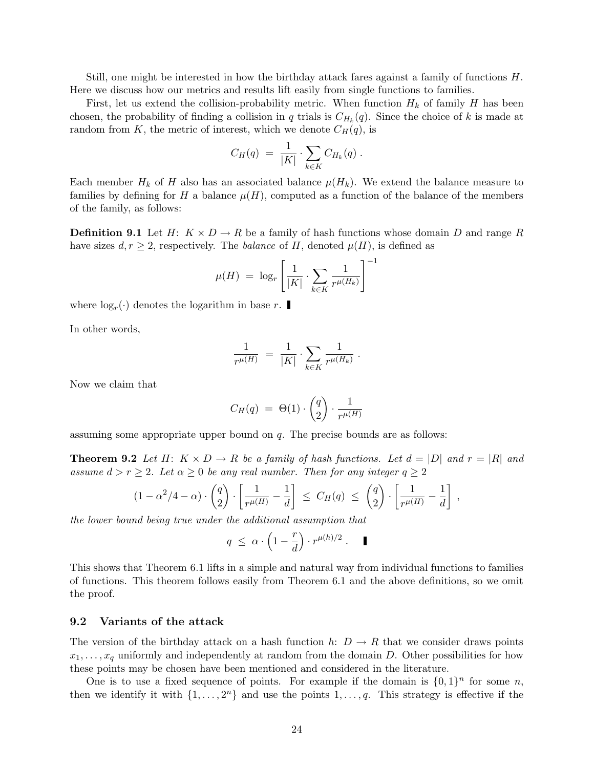Still, one might be interested in how the birthday attack fares against a family of functions H. Here we discuss how our metrics and results lift easily from single functions to families.

First, let us extend the collision-probability metric. When function  $H_k$  of family H has been chosen, the probability of finding a collision in q trials is  $C_{H_k}(q)$ . Since the choice of k is made at random from K, the metric of interest, which we denote  $C_H(q)$ , is

$$
C_H(q) = \frac{1}{|K|} \cdot \sum_{k \in K} C_{H_k}(q) .
$$

Each member  $H_k$  of H also has an associated balance  $\mu(H_k)$ . We extend the balance measure to families by defining for H a balance  $\mu(H)$ , computed as a function of the balance of the members of the family, as follows:

**Definition 9.1** Let  $H: K \times D \to R$  be a family of hash functions whose domain D and range R have sizes  $d, r \geq 2$ , respectively. The *balance* of H, denoted  $\mu(H)$ , is defined as

$$
\mu(H) \ = \ \log_r \left[ \frac{1}{|K|} \cdot \sum_{k \in K} \frac{1}{r^{\mu(H_k)}} \right]^{-1}
$$

where  $log<sub>r</sub>(.)$  denotes the logarithm in base r.

In other words,

$$
\frac{1}{r^{\mu(H)}}\;=\;\frac{1}{|K|}\cdot\sum_{k\in K}\frac{1}{r^{\mu(H_k)}}\;.
$$

Now we claim that

$$
C_H(q) = \Theta(1) \cdot \begin{pmatrix} q \\ 2 \end{pmatrix} \cdot \frac{1}{r^{\mu(H)}}
$$

assuming some appropriate upper bound on q. The precise bounds are as follows:

**Theorem 9.2** Let H:  $K \times D \rightarrow R$  be a family of hash functions. Let  $d = |D|$  and  $r = |R|$  and assume  $d > r \geq 2$ . Let  $\alpha \geq 0$  be any real number. Then for any integer  $q \geq 2$ 

$$
(1-\alpha^2/4-\alpha)\cdot \begin{pmatrix} q \\ 2 \end{pmatrix} \cdot \begin{bmatrix} \frac{1}{r^{\mu(H)}} - \frac{1}{d} \end{bmatrix} \leq C_H(q) \leq \begin{pmatrix} q \\ 2 \end{pmatrix} \cdot \begin{bmatrix} \frac{1}{r^{\mu(H)}} - \frac{1}{d} \end{bmatrix},
$$

the lower bound being true under the additional assumption that

$$
q \ \leq \ \alpha \cdot \left(1-\frac{r}{d}\right) \cdot r^{\mu(h)/2} \ . \qquad \blacksquare
$$

This shows that Theorem 6.1 lifts in a simple and natural way from individual functions to families of functions. This theorem follows easily from Theorem 6.1 and the above definitions, so we omit the proof.

#### 9.2 Variants of the attack

The version of the birthday attack on a hash function h:  $D \to R$  that we consider draws points  $x_1, \ldots, x_q$  uniformly and independently at random from the domain D. Other possibilities for how these points may be chosen have been mentioned and considered in the literature.

One is to use a fixed sequence of points. For example if the domain is  $\{0,1\}^n$  for some n, then we identify it with  $\{1, \ldots, 2^n\}$  and use the points  $1, \ldots, q$ . This strategy is effective if the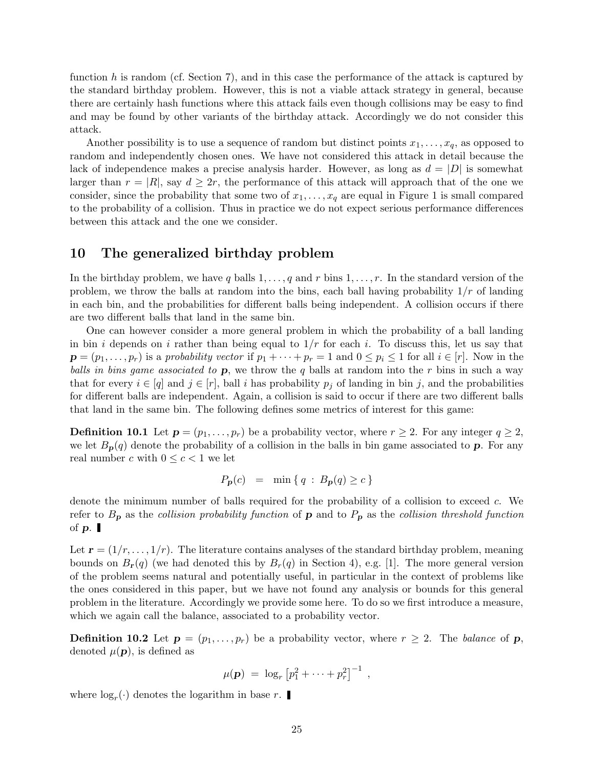function h is random (cf. Section 7), and in this case the performance of the attack is captured by the standard birthday problem. However, this is not a viable attack strategy in general, because there are certainly hash functions where this attack fails even though collisions may be easy to find and may be found by other variants of the birthday attack. Accordingly we do not consider this attack.

Another possibility is to use a sequence of random but distinct points  $x_1, \ldots, x_q$ , as opposed to random and independently chosen ones. We have not considered this attack in detail because the lack of independence makes a precise analysis harder. However, as long as  $d = |D|$  is somewhat larger than  $r = |R|$ , say  $d \geq 2r$ , the performance of this attack will approach that of the one we consider, since the probability that some two of  $x_1, \ldots, x_q$  are equal in Figure 1 is small compared to the probability of a collision. Thus in practice we do not expect serious performance differences between this attack and the one we consider.

## 10 The generalized birthday problem

In the birthday problem, we have q balls  $1, \ldots, q$  and r bins  $1, \ldots, r$ . In the standard version of the problem, we throw the balls at random into the bins, each ball having probability  $1/r$  of landing in each bin, and the probabilities for different balls being independent. A collision occurs if there are two different balls that land in the same bin.

One can however consider a more general problem in which the probability of a ball landing in bin i depends on i rather than being equal to  $1/r$  for each i. To discuss this, let us say that  $\mathbf{p} = (p_1, \ldots, p_r)$  is a probability vector if  $p_1 + \cdots + p_r = 1$  and  $0 \leq p_i \leq 1$  for all  $i \in [r]$ . Now in the balls in bins game associated to  $\bf{p}$ , we throw the q balls at random into the r bins in such a way that for every  $i \in [q]$  and  $j \in [r]$ , ball i has probability  $p_j$  of landing in bin j, and the probabilities for different balls are independent. Again, a collision is said to occur if there are two different balls that land in the same bin. The following defines some metrics of interest for this game:

**Definition 10.1** Let  $p = (p_1, \ldots, p_r)$  be a probability vector, where  $r \geq 2$ . For any integer  $q \geq 2$ , we let  $B_p(q)$  denote the probability of a collision in the balls in bin game associated to p. For any real number c with  $0 \leq c < 1$  we let

$$
P_{\mathbf{p}}(c) = \min \{ q : B_{\mathbf{p}}(q) \ge c \}
$$

denote the minimum number of balls required for the probability of a collision to exceed c. We refer to  $B_p$  as the collision probability function of **p** and to  $P_p$  as the collision threshold function of  $\boldsymbol{p}$ .

Let  $\mathbf{r} = (1/r, \ldots, 1/r)$ . The literature contains analyses of the standard birthday problem, meaning bounds on  $B_{r}(q)$  (we had denoted this by  $B_{r}(q)$  in Section 4), e.g. [1]. The more general version of the problem seems natural and potentially useful, in particular in the context of problems like the ones considered in this paper, but we have not found any analysis or bounds for this general problem in the literature. Accordingly we provide some here. To do so we first introduce a measure, which we again call the balance, associated to a probability vector.

**Definition 10.2** Let  $p = (p_1, \ldots, p_r)$  be a probability vector, where  $r \geq 2$ . The balance of p, denoted  $\mu(\mathbf{p})$ , is defined as

$$
\mu(\mathbf{p}) = \log_r [p_1^2 + \cdots + p_r^2]^{-1} ,
$$

where  $log<sub>r</sub>(.)$  denotes the logarithm in base r.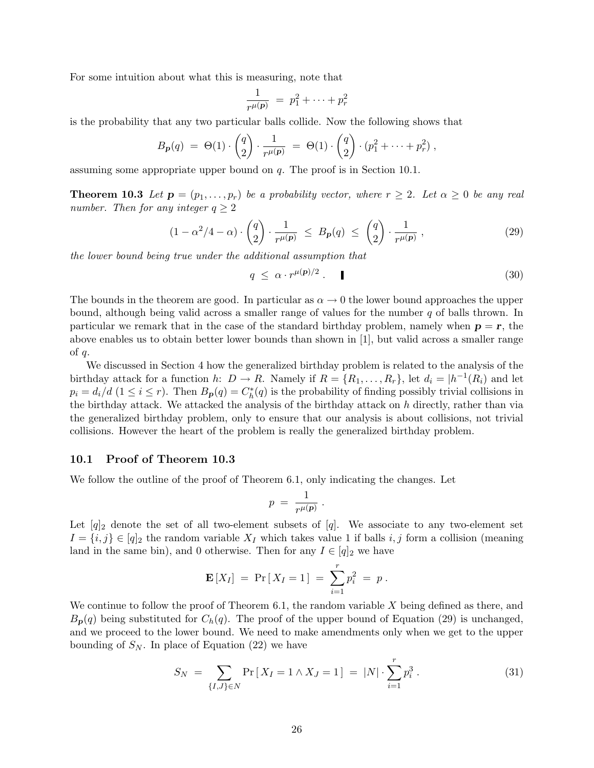For some intuition about what this is measuring, note that

$$
\frac{1}{r^{\mu}(\mathbf{p})} = p_1^2 + \dots + p_r^2
$$

is the probability that any two particular balls collide. Now the following shows that

$$
B_{p}(q) = \Theta(1) \cdot \binom{q}{2} \cdot \frac{1}{r^{\mu(p)}} = \Theta(1) \cdot \binom{q}{2} \cdot (p_1^2 + \dots + p_r^2) ,
$$

assuming some appropriate upper bound on q. The proof is in Section 10.1.

**Theorem 10.3** Let  $\mathbf{p} = (p_1, \ldots, p_r)$  be a probability vector, where  $r \geq 2$ . Let  $\alpha \geq 0$  be any real number. Then for any integer  $q \geq 2$ 

$$
(1 - \alpha^2/4 - \alpha) \cdot \begin{pmatrix} q \\ 2 \end{pmatrix} \cdot \frac{1}{r^{\mu(\mathbf{p})}} \le B_{\mathbf{p}}(q) \le \begin{pmatrix} q \\ 2 \end{pmatrix} \cdot \frac{1}{r^{\mu(\mathbf{p})}}, \tag{29}
$$

the lower bound being true under the additional assumption that

$$
q \leq \alpha \cdot r^{\mu(p)/2} \tag{30}
$$

The bounds in the theorem are good. In particular as  $\alpha \to 0$  the lower bound approaches the upper bound, although being valid across a smaller range of values for the number  $q$  of balls thrown. In particular we remark that in the case of the standard birthday problem, namely when  $p = r$ , the above enables us to obtain better lower bounds than shown in [1], but valid across a smaller range of  $q$ .

We discussed in Section 4 how the generalized birthday problem is related to the analysis of the birthday attack for a function h:  $D \to R$ . Namely if  $R = \{R_1, \ldots, R_r\}$ , let  $d_i = |h^{-1}(R_i)$  and let  $p_i = d_i/d \ (1 \leq i \leq r)$ . Then  $B_p(q) = C_h^*(q)$  is the probability of finding possibly trivial collisions in the birthday attack. We attacked the analysis of the birthday attack on  $h$  directly, rather than via the generalized birthday problem, only to ensure that our analysis is about collisions, not trivial collisions. However the heart of the problem is really the generalized birthday problem.

#### 10.1 Proof of Theorem 10.3

We follow the outline of the proof of Theorem 6.1, only indicating the changes. Let

$$
p = \frac{1}{r^{\mu(\mathbf{p})}}.
$$

Let  $[q]_2$  denote the set of all two-element subsets of  $[q]$ . We associate to any two-element set  $I = \{i, j\} \in [q]_2$  the random variable  $X_I$  which takes value 1 if balls  $i, j$  form a collision (meaning land in the same bin), and 0 otherwise. Then for any  $I \in [q]_2$  we have

$$
\mathbf{E}[X_I] = \Pr[X_I = 1] = \sum_{i=1}^r p_i^2 = p.
$$

We continue to follow the proof of Theorem 6.1, the random variable X being defined as there, and  $B_{\bf{p}}(q)$  being substituted for  $C_h(q)$ . The proof of the upper bound of Equation (29) is unchanged, and we proceed to the lower bound. We need to make amendments only when we get to the upper bounding of  $S_N$ . In place of Equation (22) we have

$$
S_N = \sum_{\{I,J\} \in N} \Pr\left[X_I = 1 \land X_J = 1\right] = |N| \cdot \sum_{i=1}^r p_i^3. \tag{31}
$$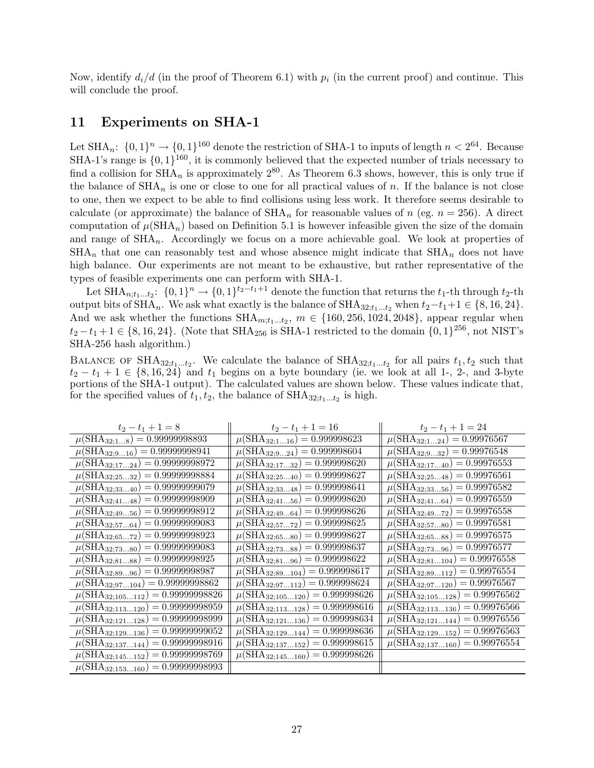Now, identify  $d_i/d$  (in the proof of Theorem 6.1) with  $p_i$  (in the current proof) and continue. This will conclude the proof.

## 11 Experiments on SHA-1

Let SHA<sub>n</sub>:  $\{0,1\}^n \rightarrow \{0,1\}^{160}$  denote the restriction of SHA-1 to inputs of length  $n < 2^{64}$ . Because SHA-1's range is  $\{0, 1\}^{160}$ , it is commonly believed that the expected number of trials necessary to find a collision for  $\text{SHA}_n$  is approximately  $2^{80}$ . As Theorem 6.3 shows, however, this is only true if the balance of  $\text{SHA}_n$  is one or close to one for all practical values of n. If the balance is not close to one, then we expect to be able to find collisions using less work. It therefore seems desirable to calculate (or approximate) the balance of  $\text{SHA}_n$  for reasonable values of n (eg.  $n = 256$ ). A direct computation of  $\mu(SHA_n)$  based on Definition 5.1 is however infeasible given the size of the domain and range of  $\text{SHA}_n$ . Accordingly we focus on a more achievable goal. We look at properties of  $\text{SHA}_n$  that one can reasonably test and whose absence might indicate that  $\text{SHA}_n$  does not have high balance. Our experiments are not meant to be exhaustive, but rather representative of the types of feasible experiments one can perform with SHA-1.

Let  $\text{SHA}_{n,t_1...t_2}$ :  $\{0,1\}^n \rightarrow \{0,1\}^{t_2-t_1+1}$  denote the function that returns the  $t_1$ -th through  $t_2$ -th output bits of SHA<sub>n</sub>. We ask what exactly is the balance of SHA<sub>32;t1</sub>...t<sub>2</sub> when  $t_2-t_1+1 \in \{8, 16, 24\}$ . And we ask whether the functions  $SHA_{m,t_1...t_2}, m \in \{160, 256, 1024, 2048\}$ , appear regular when  $t_2 - t_1 + 1 \in \{8, 16, 24\}$ . (Note that SHA<sub>256</sub> is SHA-1 restricted to the domain  $\{0, 1\}^{256}$ , not NIST's SHA-256 hash algorithm.)

BALANCE OF SHA<sub>32;t<sub>1</sub>...t<sub>2</sub>. We calculate the balance of SHA<sub>32;t<sub>1</sub>...t<sub>2</sub> for all pairs  $t_1, t_2$  such that</sub></sub>  $t_2 - t_1 + 1 \in \{8, 16, 24\}$  and  $t_1$  begins on a byte boundary (ie. we look at all 1-, 2-, and 3-byte portions of the SHA-1 output). The calculated values are shown below. These values indicate that, for the specified values of  $t_1, t_2$ , the balance of  $\text{SHA}_{32; t_1...t_2}$  is high.

| $t_2-t_1+1=8$                                          | $t_2-t_1+1=16$                                       | $t_2-t_1+1=24$                    |
|--------------------------------------------------------|------------------------------------------------------|-----------------------------------|
| $\mu(SHA_{32;18})$                                     | $= 0.999998623$                                      | $\mu$ (SHA <sub>32;1…24</sub> )   |
| $= 0.99999998893$                                      | $\mu$ (SHA <sub>32;116</sub> )                       | $= 0.99976567$                    |
| $= 0.99999998941$                                      | $= 0.999998604$                                      | $= 0.99976548$                    |
| $\mu$ (SHA <sub>32;9…16</sub> )                        | $\mu(SHA_{32;924})$                                  | $\mu$ (SHA <sub>32;9</sub> , 32)  |
| $= 0.99999998972$                                      | $= 0.999998620$                                      | $= 0.99976553$                    |
| $\mu$ (SHA <sub>32;17</sub> 24)                        | $\mu$ (SHA <sub>32;17</sub> 32)                      | $\mu$ (SHA <sub>32;17</sub> 40)   |
| $= 0.99999998884$                                      | $= 0.999998627$                                      | $= 0.99976561$                    |
| $\mu$ (SHA <sub>32;25</sub> , 32)                      | $\mu$ (SHA <sub>32;25</sub> 40)                      | $\mu$ (SHA <sub>32;25</sub> 48)   |
| $= 0.99999999079$                                      | $= 0.999998641$                                      | $= 0.99976582$                    |
| $\mu$ (SHA <sub>32;33</sub> 40)                        | $\mu$ (SHA <sub>32;33</sub> 48)                      | $\mu$ (SHA <sub>32;33</sub> 56)   |
| $= 0.99999998909$                                      | $= 0.999998620$                                      | $= 0.99976559$                    |
| $\mu(SHA_{32;4148})$                                   | $\mu(SHA_{32;4156})$                                 | $\mu$ (SHA <sub>32;41</sub> 64)   |
| $= 0.99999998912$                                      | $= 0.999998626$                                      | $= 0.99976558$                    |
| $\mu(SHA_{32;4956})$                                   | $\mu$ (SHA <sub>32;49</sub> 64)                      | $\mu$ (SHA <sub>32;49</sub> 72)   |
| $= 0.99999999083$                                      | $= 0.999998625$                                      | $= 0.99976581$                    |
| $\mu$ (SHA <sub>32;57</sub> 64)                        | $\mu$ (SHA <sub>32;57</sub> 72)                      | $\mu$ (SHA <sub>32;57</sub> 80)   |
| $= 0.99999998923$                                      | $= 0.999998627$                                      | $= 0.99976575$                    |
| $\mu$ (SHA <sub>32;65</sub> 72)                        | $\mu$ (SHA <sub>32;65</sub> 80)                      | $\mu$ (SHA <sub>32;65</sub> 88)   |
| $= 0.99999999083$                                      | $= 0.999998637$                                      | $= 0.99976577$                    |
| $\mu$ (SHA <sub>32;73</sub> 80)                        | $\mu$ (SHA <sub>32;73</sub> 88)                      | $\mu$ (SHA <sub>32;73</sub> 96)   |
| $= 0.99999998925$                                      | $= 0.999998622$                                      | $= 0.99976558$                    |
| $\mu$ (SHA <sub>32;81</sub> 88)                        | $\mu(SHA_{32;8196})$                                 | $\mu$ (SHA <sub>32;81</sub> 104)  |
| $= 0.99999998987$                                      | $= 0.999998617$                                      | $= 0.99976554$                    |
| $\mu$ (SHA <sub>32;89</sub> 96)                        | $\mu$ (SHA <sub>32;89</sub> 104)                     | $\mu$ (SHA <sub>32;89</sub> 112)  |
| $= 0.99999998862$                                      | $= 0.999998624$                                      | $= 0.99976567$                    |
| $\mu$ (SHA <sub>32;97</sub> 104)                       | $\mu(SHA_{32;97112})$                                | $\mu(SHA_{32;97120})$             |
| $= 0.99999998826$                                      | $= 0.999998626$                                      | $= 0.99976562$                    |
| $\mu$ (SHA <sub>32;105</sub> 112)                      | $\mu$ (SHA <sub>32;105</sub> 120)                    | $\mu$ (SHA <sub>32;105</sub> 128) |
| $= 0.99999998959$                                      | $= 0.999998616$                                      | $= 0.99976566$                    |
| $\mu$ (SHA <sub>32;113</sub> 120)                      | $\mu$ (SHA <sub>32;113</sub> 128)                    | $\mu(\text{SHA}_{32;113136})$     |
| $= 0.99999998999$                                      | $= 0.999998634$                                      | $= 0.99976556$                    |
| $\mu$ (SHA <sub>32;121</sub> 128)                      | $\mu$ (SHA <sub>32;121</sub> 136)                    | $\mu$ (SHA <sub>32;121</sub> 144) |
| $= 0.99999999052$                                      | $= 0.999998636$                                      | $= 0.99976563$                    |
| $\mu$ (SHA <sub>32;129</sub> 136)                      | $\mu$ (SHA <sub>32;129</sub> 144)                    | $\mu$ (SHA <sub>32;129</sub> 152) |
| $= 0.99999998916$                                      | $= 0.999998615$                                      | $= 0.99976554$                    |
| $\mu$ (SHA <sub>32;137</sub> 144)                      | $\mu$ (SHA <sub>32;137</sub> 152)                    | $\mu$ (SHA <sub>32;137</sub> 160) |
| $= 0.99999998769$<br>$\mu$ (SHA <sub>32;145</sub> 152) | $= 0.999998626$<br>$\mu$ (SHA <sub>32;145</sub> 160) |                                   |
| $= 0.99999998993$<br>$\mu$ (SHA <sub>32;153</sub> 160) |                                                      |                                   |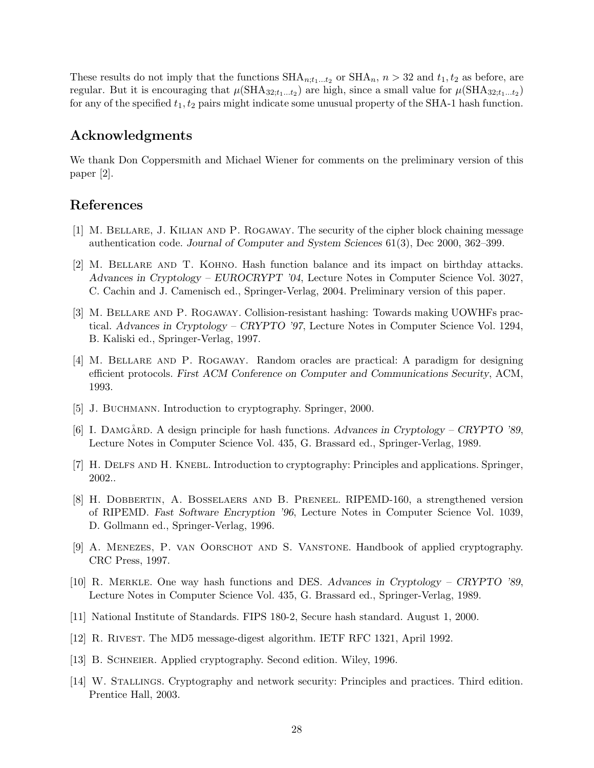These results do not imply that the functions  $\text{SHA}_{n;t_1...t_2}$  or  $\text{SHA}_{n}$ ,  $n > 32$  and  $t_1, t_2$  as before, are regular. But it is encouraging that  $\mu(\text{SHA}_{32;t_1...t_2})$  are high, since a small value for  $\mu(\text{SHA}_{32;t_1...t_2})$ for any of the specified  $t_1, t_2$  pairs might indicate some unusual property of the SHA-1 hash function.

# Acknowledgments

We thank Don Coppersmith and Michael Wiener for comments on the preliminary version of this paper [2].

## References

- [1] M. Bellare, J. Kilian and P. Rogaway. The security of the cipher block chaining message authentication code. Journal of Computer and System Sciences 61(3), Dec 2000, 362–399.
- [2] M. Bellare and T. Kohno. Hash function balance and its impact on birthday attacks. Advances in Cryptology – EUROCRYPT '04, Lecture Notes in Computer Science Vol. 3027, C. Cachin and J. Camenisch ed., Springer-Verlag, 2004. Preliminary version of this paper.
- [3] M. Bellare and P. Rogaway. Collision-resistant hashing: Towards making UOWHFs practical. Advances in Cryptology – CRYPTO '97, Lecture Notes in Computer Science Vol. 1294, B. Kaliski ed., Springer-Verlag, 1997.
- [4] M. Bellare and P. Rogaway. Random oracles are practical: A paradigm for designing efficient protocols. First ACM Conference on Computer and Communications Security, ACM, 1993.
- [5] J. BUCHMANN. Introduction to cryptography. Springer, 2000.
- [6] I. DAMGÅRD. A design principle for hash functions. Advances in Cryptology CRYPTO '89, Lecture Notes in Computer Science Vol. 435, G. Brassard ed., Springer-Verlag, 1989.
- [7] H. DELFS AND H. KNEBL. Introduction to cryptography: Principles and applications. Springer, 2002..
- [8] H. Dobbertin, A. Bosselaers and B. Preneel. RIPEMD-160, a strengthened version of RIPEMD. Fast Software Encryption '96, Lecture Notes in Computer Science Vol. 1039, D. Gollmann ed., Springer-Verlag, 1996.
- [9] A. Menezes, P. van Oorschot and S. Vanstone. Handbook of applied cryptography. CRC Press, 1997.
- [10] R. Merkle. One way hash functions and DES. Advances in Cryptology CRYPTO '89, Lecture Notes in Computer Science Vol. 435, G. Brassard ed., Springer-Verlag, 1989.
- [11] National Institute of Standards. FIPS 180-2, Secure hash standard. August 1, 2000.
- [12] R. Rivest. The MD5 message-digest algorithm. IETF RFC 1321, April 1992.
- [13] B. SCHNEIER. Applied cryptography. Second edition. Wiley, 1996.
- [14] W. Stallings. Cryptography and network security: Principles and practices. Third edition. Prentice Hall, 2003.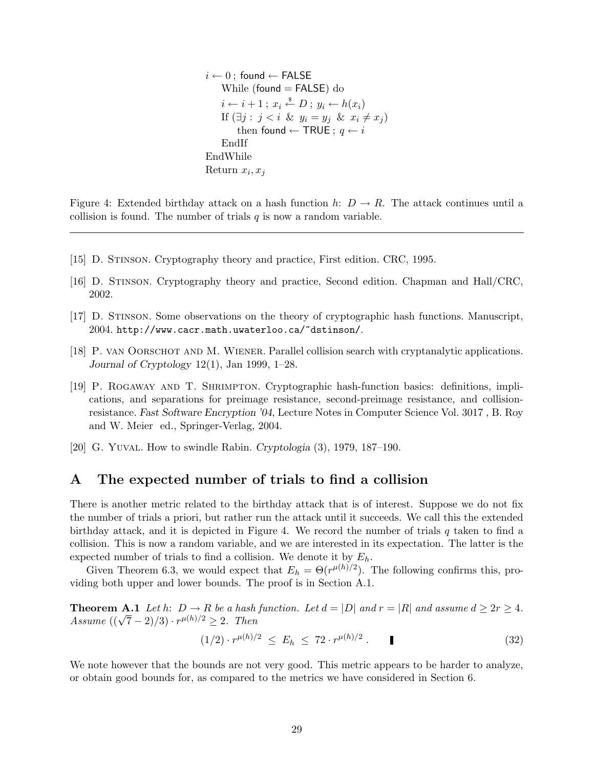```
i \leftarrow 0; found \leftarrow FALSE
    While (found = FALSE) do
     i \leftarrow i+1; x_i \stackrel{\$}{\leftarrow} D; y_i \leftarrow h(x_i)If (\exists j : j < i \& y_i = y_j \& x_i \neq x_j)then found \leftarrow TRUE ; q \leftarrow iEndIf
EndWhile
Return x_i, x_j
```
Figure 4: Extended birthday attack on a hash function h:  $D \to R$ . The attack continues until a collision is found. The number of trials  $q$  is now a random variable.

- [15] D. Stinson. Cryptography theory and practice, First edition. CRC, 1995.
- [16] D. Stinson. Cryptography theory and practice, Second edition. Chapman and Hall/CRC, 2002.
- [17] D. Stinson. Some observations on the theory of cryptographic hash functions. Manuscript, 2004. http://www.cacr.math.uwaterloo.ca/~dstinson/.
- [18] P. van Oorschot and M. Wiener. Parallel collision search with cryptanalytic applications. Journal of Cryptology  $12(1)$ , Jan 1999, 1–28.
- [19] P. Rogaway and T. Shrimpton. Cryptographic hash-function basics: definitions, implications, and separations for preimage resistance, second-preimage resistance, and collisionresistance. Fast Software Encryption '04, Lecture Notes in Computer Science Vol. 3017 , B. Roy and W. Meier ed., Springer-Verlag, 2004.
- [20] G. Yuval. How to swindle Rabin. Cryptologia (3), 1979, 187–190.

# A The expected number of trials to find a collision

There is another metric related to the birthday attack that is of interest. Suppose we do not fix the number of trials a priori, but rather run the attack until it succeeds. We call this the extended birthday attack, and it is depicted in Figure 4. We record the number of trials  $q$  taken to find a collision. This is now a random variable, and we are interested in its expectation. The latter is the expected number of trials to find a collision. We denote it by  $E_h$ .

Given Theorem 6.3, we would expect that  $E_h = \Theta(r^{\mu(h)/2})$ . The following confirms this, providing both upper and lower bounds. The proof is in Section A.1.

**Theorem A.1** Let h:  $D \to R$  be a hash function. Let  $d = |D|$  and  $r = |R|$  and assume  $d \geq 2r \geq 4$ . Assume  $((\sqrt{7}-2)/3) \cdot r^{\mu(h)/2} \geq 2$ . Then

$$
(1/2) \cdot r^{\mu(h)/2} \le E_h \le 72 \cdot r^{\mu(h)/2} \,. \tag{32}
$$

We note however that the bounds are not very good. This metric appears to be harder to analyze, or obtain good bounds for, as compared to the metrics we have considered in Section 6.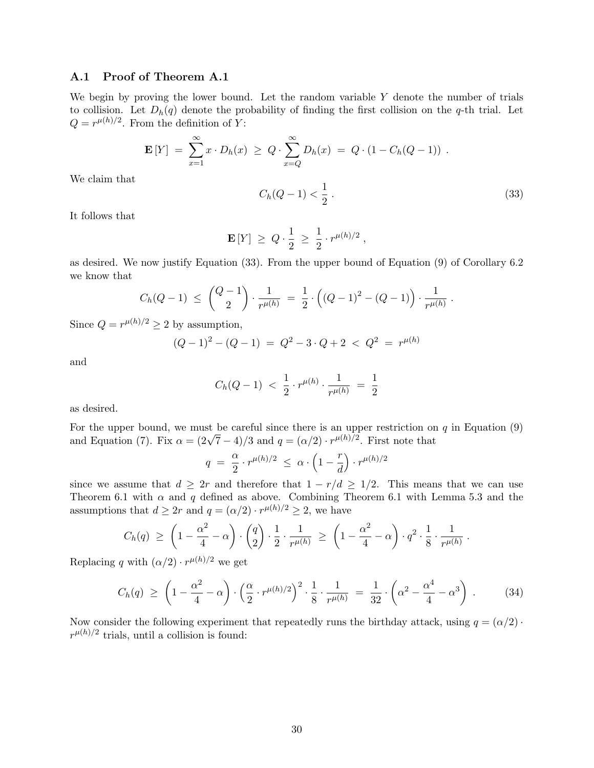#### A.1 Proof of Theorem A.1

We begin by proving the lower bound. Let the random variable  $Y$  denote the number of trials to collision. Let  $D_h(q)$  denote the probability of finding the first collision on the q-th trial. Let  $Q = r^{\mu(h)/2}$ . From the definition of Y:

$$
\mathbf{E}[Y] = \sum_{x=1}^{\infty} x \cdot D_h(x) \ge Q \cdot \sum_{x=Q}^{\infty} D_h(x) = Q \cdot (1 - C_h(Q-1)) \; .
$$

We claim that

$$
C_h(Q-1) < \frac{1}{2} \tag{33}
$$

It follows that

$$
\mathbf{E}[Y] \; \geq \; Q \cdot \frac{1}{2} \; \geq \; \frac{1}{2} \cdot r^{\mu(h)/2} \; ,
$$

as desired. We now justify Equation (33). From the upper bound of Equation (9) of Corollary 6.2 we know that

$$
C_h(Q-1) \ \leq \ {Q-1 \choose 2} \cdot \frac{1}{r^{\mu(h)}} \ = \ \frac{1}{2} \cdot \left( (Q-1)^2 - (Q-1) \right) \cdot \frac{1}{r^{\mu(h)}} \ .
$$

Since  $Q = r^{\mu(h)/2} \ge 2$  by assumption,

$$
(Q-1)^2 - (Q-1) = Q^2 - 3 \cdot Q + 2 < Q^2 = r^{\mu(h)}
$$

and

$$
C_h(Q-1) \; < \; \frac{1}{2} \cdot r^{\mu(h)} \cdot \frac{1}{r^{\mu(h)}} \; = \; \frac{1}{2}
$$

as desired.

For the upper bound, we must be careful since there is an upper restriction on  $q$  in Equation (9) and Equation (7). Fix  $\alpha = (2\sqrt{7}-4)/3$  and  $q = (\alpha/2) \cdot r^{\mu(h)/2}$ . First note that

$$
q = \frac{\alpha}{2} \cdot r^{\mu(h)/2} \leq \alpha \cdot \left(1 - \frac{r}{d}\right) \cdot r^{\mu(h)/2}
$$

since we assume that  $d \geq 2r$  and therefore that  $1 - r/d \geq 1/2$ . This means that we can use Theorem 6.1 with  $\alpha$  and q defined as above. Combining Theorem 6.1 with Lemma 5.3 and the assumptions that  $d \geq 2r$  and  $q = (\alpha/2) \cdot r^{\mu(h)/2} \geq 2$ , we have

$$
C_h(q) \ge \left(1 - \frac{\alpha^2}{4} - \alpha\right) \cdot \binom{q}{2} \cdot \frac{1}{2} \cdot \frac{1}{r^{\mu(h)}} \ge \left(1 - \frac{\alpha^2}{4} - \alpha\right) \cdot q^2 \cdot \frac{1}{8} \cdot \frac{1}{r^{\mu(h)}}.
$$

Replacing q with  $(\alpha/2) \cdot r^{\mu(h)/2}$  we get

$$
C_h(q) \ge \left(1 - \frac{\alpha^2}{4} - \alpha\right) \cdot \left(\frac{\alpha}{2} \cdot r^{\mu(h)/2}\right)^2 \cdot \frac{1}{8} \cdot \frac{1}{r^{\mu(h)}} = \frac{1}{32} \cdot \left(\alpha^2 - \frac{\alpha^4}{4} - \alpha^3\right) \,. \tag{34}
$$

Now consider the following experiment that repeatedly runs the birthday attack, using  $q = (\alpha/2)$ .  $r^{\mu(h)/2}$  trials, until a collision is found: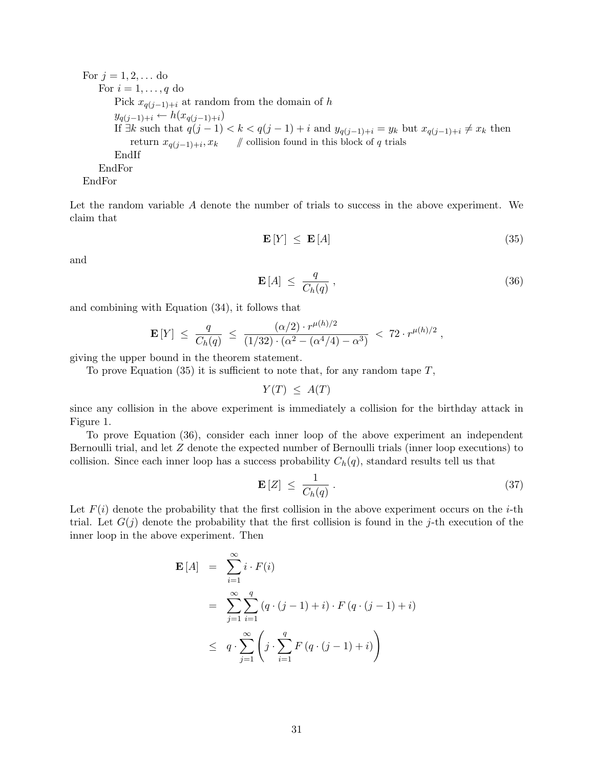For 
$$
j = 1, 2, \ldots
$$
 do\nFor  $i = 1, \ldots, q$  do\nPick  $x_{q(j-1)+i}$  at random from the domain of  $h$ \n $y_{q(j-1)+i} \leftarrow h(x_{q(j-1)+i})$ \nIf  $\exists k$  such that  $q(j-1) < k < q(j-1) + i$  and  $y_{q(j-1)+i} = y_k$  but  $x_{q(j-1)+i} \neq x_k$  then\nreturn  $x_{q(j-1)+i}, x_k$  // collision found in this block of  $q$  trials\nEndF or\nEndFor

Let the random variable A denote the number of trials to success in the above experiment. We claim that

$$
\mathbf{E}\left[Y\right] \leq \mathbf{E}\left[A\right] \tag{35}
$$

and

$$
\mathbf{E}\left[A\right] \leq \frac{q}{C_h(q)}\,,\tag{36}
$$

and combining with Equation (34), it follows that

$$
\mathbf{E}\left[Y\right] \ \leq \ \frac{q}{C_h(q)} \ \leq \ \frac{(\alpha/2) \cdot r^{\mu(h)/2}}{(1/32) \cdot (\alpha^2 - (\alpha^4/4) - \alpha^3)} \ < \ 72 \cdot r^{\mu(h)/2} \ ,
$$

giving the upper bound in the theorem statement.

To prove Equation  $(35)$  it is sufficient to note that, for any random tape  $T$ ,

$$
Y(T) \leq A(T)
$$

since any collision in the above experiment is immediately a collision for the birthday attack in Figure 1.

To prove Equation (36), consider each inner loop of the above experiment an independent Bernoulli trial, and let Z denote the expected number of Bernoulli trials (inner loop executions) to collision. Since each inner loop has a success probability  $C_h(q)$ , standard results tell us that

$$
\mathbf{E}\left[Z\right] \leq \frac{1}{C_h(q)}\,. \tag{37}
$$

Let  $F(i)$  denote the probability that the first collision in the above experiment occurs on the *i*-th trial. Let  $G(j)$  denote the probability that the first collision is found in the j-th execution of the inner loop in the above experiment. Then

$$
\mathbf{E}[A] = \sum_{i=1}^{\infty} i \cdot F(i)
$$
  
= 
$$
\sum_{j=1}^{\infty} \sum_{i=1}^{q} (q \cdot (j-1) + i) \cdot F(q \cdot (j-1) + i)
$$
  

$$
\leq q \cdot \sum_{j=1}^{\infty} \left( j \cdot \sum_{i=1}^{q} F(q \cdot (j-1) + i) \right)
$$